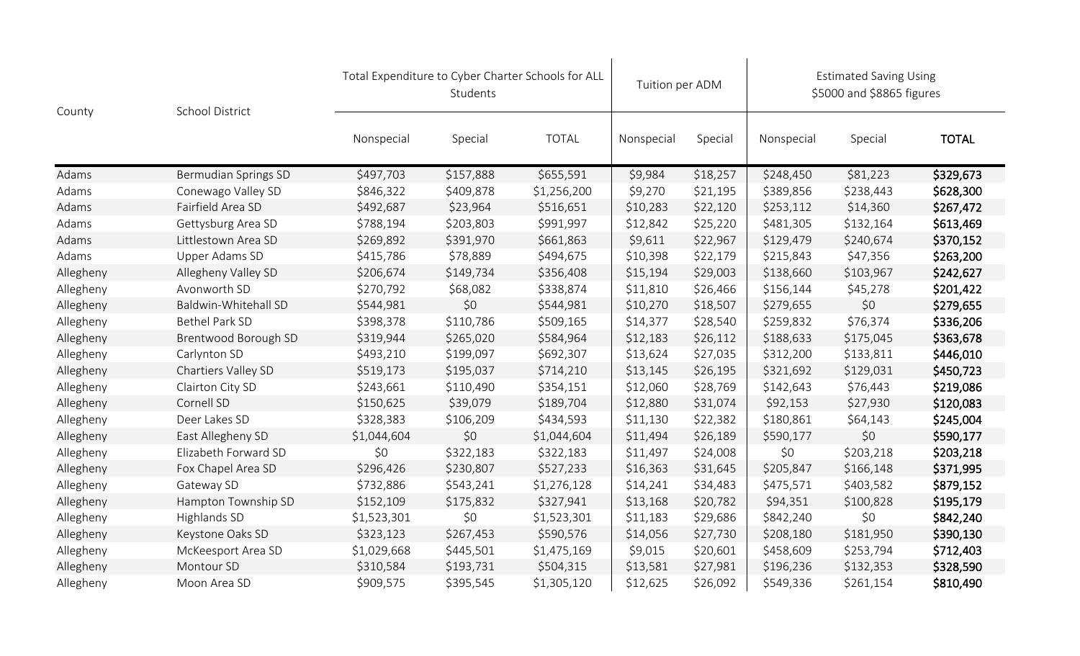| County    | <b>School District</b> |             | Total Expenditure to Cyber Charter Schools for ALL<br>Students |              |            | Tuition per ADM | <b>Estimated Saving Using</b><br>\$5000 and \$8865 figures |           |              |  |
|-----------|------------------------|-------------|----------------------------------------------------------------|--------------|------------|-----------------|------------------------------------------------------------|-----------|--------------|--|
|           |                        | Nonspecial  | Special                                                        | <b>TOTAL</b> | Nonspecial | Special         | Nonspecial                                                 | Special   | <b>TOTAL</b> |  |
| Adams     | Bermudian Springs SD   | \$497,703   | \$157,888                                                      | \$655,591    | \$9,984    | \$18,257        | \$248,450                                                  | \$81,223  | \$329,673    |  |
| Adams     | Conewago Valley SD     | \$846,322   | \$409,878                                                      | \$1,256,200  | \$9,270    | \$21,195        | \$389,856                                                  | \$238,443 | \$628,300    |  |
| Adams     | Fairfield Area SD      | \$492,687   | \$23,964                                                       | \$516,651    | \$10,283   | \$22,120        | \$253,112                                                  | \$14,360  | \$267,472    |  |
| Adams     | Gettysburg Area SD     | \$788,194   | \$203,803                                                      | \$991,997    | \$12,842   | \$25,220        | \$481,305                                                  | \$132,164 | \$613,469    |  |
| Adams     | Littlestown Area SD    | \$269,892   | \$391,970                                                      | \$661,863    | \$9,611    | \$22,967        | \$129,479                                                  | \$240,674 | \$370,152    |  |
| Adams     | Upper Adams SD         | \$415,786   | \$78,889                                                       | \$494,675    | \$10,398   | \$22,179        | \$215,843                                                  | \$47,356  | \$263,200    |  |
| Allegheny | Allegheny Valley SD    | \$206,674   | \$149,734                                                      | \$356,408    | \$15,194   | \$29,003        | \$138,660                                                  | \$103,967 | \$242,627    |  |
| Allegheny | Avonworth SD           | \$270,792   | \$68,082                                                       | \$338,874    | \$11,810   | \$26,466        | \$156,144                                                  | \$45,278  | \$201,422    |  |
| Allegheny | Baldwin-Whitehall SD   | \$544,981   | \$0                                                            | \$544,981    | \$10,270   | \$18,507        | \$279,655                                                  | \$0       | \$279,655    |  |
| Allegheny | <b>Bethel Park SD</b>  | \$398,378   | \$110,786                                                      | \$509,165    | \$14,377   | \$28,540        | \$259,832                                                  | \$76,374  | \$336,206    |  |
| Allegheny | Brentwood Borough SD   | \$319,944   | \$265,020                                                      | \$584,964    | \$12,183   | \$26,112        | \$188,633                                                  | \$175,045 | \$363,678    |  |
| Allegheny | Carlynton SD           | \$493,210   | \$199,097                                                      | \$692,307    | \$13,624   | \$27,035        | \$312,200                                                  | \$133,811 | \$446,010    |  |
| Allegheny | Chartiers Valley SD    | \$519,173   | \$195,037                                                      | \$714,210    | \$13,145   | \$26,195        | \$321,692                                                  | \$129,031 | \$450,723    |  |
| Allegheny | Clairton City SD       | \$243,661   | \$110,490                                                      | \$354,151    | \$12,060   | \$28,769        | \$142,643                                                  | \$76,443  | \$219,086    |  |
| Allegheny | Cornell SD             | \$150,625   | \$39,079                                                       | \$189,704    | \$12,880   | \$31,074        | \$92,153                                                   | \$27,930  | \$120,083    |  |
| Allegheny | Deer Lakes SD          | \$328,383   | \$106,209                                                      | \$434,593    | \$11,130   | \$22,382        | \$180,861                                                  | \$64,143  | \$245,004    |  |
| Allegheny | East Allegheny SD      | \$1,044,604 | \$0                                                            | \$1,044,604  | \$11,494   | \$26,189        | \$590,177                                                  | \$0       | \$590,177    |  |
| Allegheny | Elizabeth Forward SD   | \$0         | \$322,183                                                      | \$322,183    | \$11,497   | \$24,008        | \$0                                                        | \$203,218 | \$203,218    |  |
| Allegheny | Fox Chapel Area SD     | \$296,426   | \$230,807                                                      | \$527,233    | \$16,363   | \$31,645        | \$205,847                                                  | \$166,148 | \$371,995    |  |
| Allegheny | Gateway SD             | \$732,886   | \$543,241                                                      | \$1,276,128  | \$14,241   | \$34,483        | \$475,571                                                  | \$403,582 | \$879,152    |  |
| Allegheny | Hampton Township SD    | \$152,109   | \$175,832                                                      | \$327,941    | \$13,168   | \$20,782        | \$94,351                                                   | \$100,828 | \$195,179    |  |
| Allegheny | Highlands SD           | \$1,523,301 | \$0                                                            | \$1,523,301  | \$11,183   | \$29,686        | \$842,240                                                  | \$0       | \$842,240    |  |
| Allegheny | Keystone Oaks SD       | \$323,123   | \$267,453                                                      | \$590,576    | \$14,056   | \$27,730        | \$208,180                                                  | \$181,950 | \$390,130    |  |
| Allegheny | McKeesport Area SD     | \$1,029,668 | \$445,501                                                      | \$1,475,169  | \$9,015    | \$20,601        | \$458,609                                                  | \$253,794 | \$712,403    |  |
| Allegheny | Montour SD             | \$310,584   | \$193,731                                                      | \$504,315    | \$13,581   | \$27,981        | \$196,236                                                  | \$132,353 | \$328,590    |  |
| Allegheny | Moon Area SD           | \$909,575   | \$395,545                                                      | \$1,305,120  | \$12,625   | \$26,092        | \$549,336                                                  | \$261,154 | \$810,490    |  |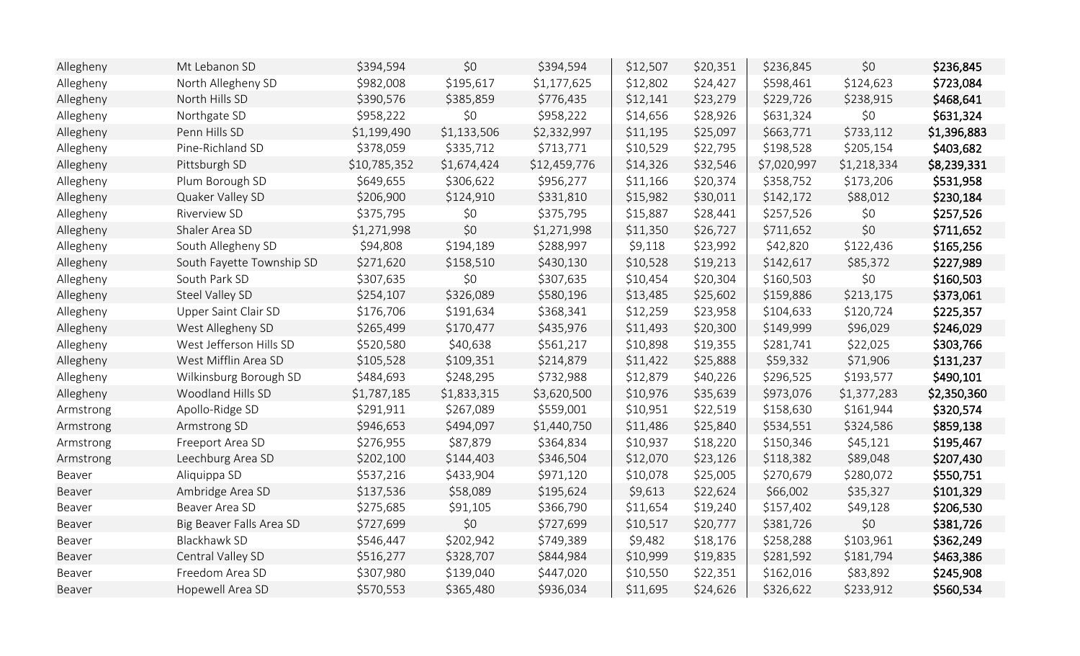| Allegheny | Mt Lebanon SD               | \$394,594    | \$0         | \$394,594    | \$12,507 | \$20,351 | \$236,845   | \$0         | \$236,845   |
|-----------|-----------------------------|--------------|-------------|--------------|----------|----------|-------------|-------------|-------------|
| Allegheny | North Allegheny SD          | \$982,008    | \$195,617   | \$1,177,625  | \$12,802 | \$24,427 | \$598,461   | \$124,623   | \$723,084   |
| Allegheny | North Hills SD              | \$390,576    | \$385,859   | \$776,435    | \$12,141 | \$23,279 | \$229,726   | \$238,915   | \$468,641   |
| Allegheny | Northgate SD                | \$958,222    | \$0         | \$958,222    | \$14,656 | \$28,926 | \$631,324   | \$0         | \$631,324   |
| Allegheny | Penn Hills SD               | \$1,199,490  | \$1,133,506 | \$2,332,997  | \$11,195 | \$25,097 | \$663,771   | \$733,112   | \$1,396,883 |
| Allegheny | Pine-Richland SD            | \$378,059    | \$335,712   | \$713,771    | \$10,529 | \$22,795 | \$198,528   | \$205,154   | \$403,682   |
| Allegheny | Pittsburgh SD               | \$10,785,352 | \$1,674,424 | \$12,459,776 | \$14,326 | \$32,546 | \$7,020,997 | \$1,218,334 | \$8,239,331 |
| Allegheny | Plum Borough SD             | \$649,655    | \$306,622   | \$956,277    | \$11,166 | \$20,374 | \$358,752   | \$173,206   | \$531,958   |
| Allegheny | Quaker Valley SD            | \$206,900    | \$124,910   | \$331,810    | \$15,982 | \$30,011 | \$142,172   | \$88,012    | \$230,184   |
| Allegheny | <b>Riverview SD</b>         | \$375,795    | \$0         | \$375,795    | \$15,887 | \$28,441 | \$257,526   | \$0         | \$257,526   |
| Allegheny | Shaler Area SD              | \$1,271,998  | \$0         | \$1,271,998  | \$11,350 | \$26,727 | \$711,652   | \$0         | \$711,652   |
| Allegheny | South Allegheny SD          | \$94,808     | \$194,189   | \$288,997    | \$9,118  | \$23,992 | \$42,820    | \$122,436   | \$165,256   |
| Allegheny | South Fayette Township SD   | \$271,620    | \$158,510   | \$430,130    | \$10,528 | \$19,213 | \$142,617   | \$85,372    | \$227,989   |
| Allegheny | South Park SD               | \$307,635    | \$0         | \$307,635    | \$10,454 | \$20,304 | \$160,503   | \$0         | \$160,503   |
| Allegheny | Steel Valley SD             | \$254,107    | \$326,089   | \$580,196    | \$13,485 | \$25,602 | \$159,886   | \$213,175   | \$373,061   |
| Allegheny | <b>Upper Saint Clair SD</b> | \$176,706    | \$191,634   | \$368,341    | \$12,259 | \$23,958 | \$104,633   | \$120,724   | \$225,357   |
| Allegheny | West Allegheny SD           | \$265,499    | \$170,477   | \$435,976    | \$11,493 | \$20,300 | \$149,999   | \$96,029    | \$246,029   |
| Allegheny | West Jefferson Hills SD     | \$520,580    | \$40,638    | \$561,217    | \$10,898 | \$19,355 | \$281,741   | \$22,025    | \$303,766   |
| Allegheny | West Mifflin Area SD        | \$105,528    | \$109,351   | \$214,879    | \$11,422 | \$25,888 | \$59,332    | \$71,906    | \$131,237   |
| Allegheny | Wilkinsburg Borough SD      | \$484,693    | \$248,295   | \$732,988    | \$12,879 | \$40,226 | \$296,525   | \$193,577   | \$490,101   |
| Allegheny | Woodland Hills SD           | \$1,787,185  | \$1,833,315 | \$3,620,500  | \$10,976 | \$35,639 | \$973,076   | \$1,377,283 | \$2,350,360 |
| Armstrong | Apollo-Ridge SD             | \$291,911    | \$267,089   | \$559,001    | \$10,951 | \$22,519 | \$158,630   | \$161,944   | \$320,574   |
| Armstrong | Armstrong SD                | \$946,653    | \$494,097   | \$1,440,750  | \$11,486 | \$25,840 | \$534,551   | \$324,586   | \$859,138   |
| Armstrong | Freeport Area SD            | \$276,955    | \$87,879    | \$364,834    | \$10,937 | \$18,220 | \$150,346   | \$45,121    | \$195,467   |
| Armstrong | Leechburg Area SD           | \$202,100    | \$144,403   | \$346,504    | \$12,070 | \$23,126 | \$118,382   | \$89,048    | \$207,430   |
| Beaver    | Aliquippa SD                | \$537,216    | \$433,904   | \$971,120    | \$10,078 | \$25,005 | \$270,679   | \$280,072   | \$550,751   |
| Beaver    | Ambridge Area SD            | \$137,536    | \$58,089    | \$195,624    | \$9,613  | \$22,624 | \$66,002    | \$35,327    | \$101,329   |
| Beaver    | Beaver Area SD              | \$275,685    | \$91,105    | \$366,790    | \$11,654 | \$19,240 | \$157,402   | \$49,128    | \$206,530   |
| Beaver    | Big Beaver Falls Area SD    | \$727,699    | \$0         | \$727,699    | \$10,517 | \$20,777 | \$381,726   | \$0         | \$381,726   |
| Beaver    | <b>Blackhawk SD</b>         | \$546,447    | \$202,942   | \$749,389    | \$9,482  | \$18,176 | \$258,288   | \$103,961   | \$362,249   |
| Beaver    | Central Valley SD           | \$516,277    | \$328,707   | \$844,984    | \$10,999 | \$19,835 | \$281,592   | \$181,794   | \$463,386   |
| Beaver    | Freedom Area SD             | \$307,980    | \$139,040   | \$447,020    | \$10,550 | \$22,351 | \$162,016   | \$83,892    | \$245,908   |
| Beaver    | Hopewell Area SD            | \$570,553    | \$365,480   | \$936,034    | \$11,695 | \$24,626 | \$326,622   | \$233,912   | \$560,534   |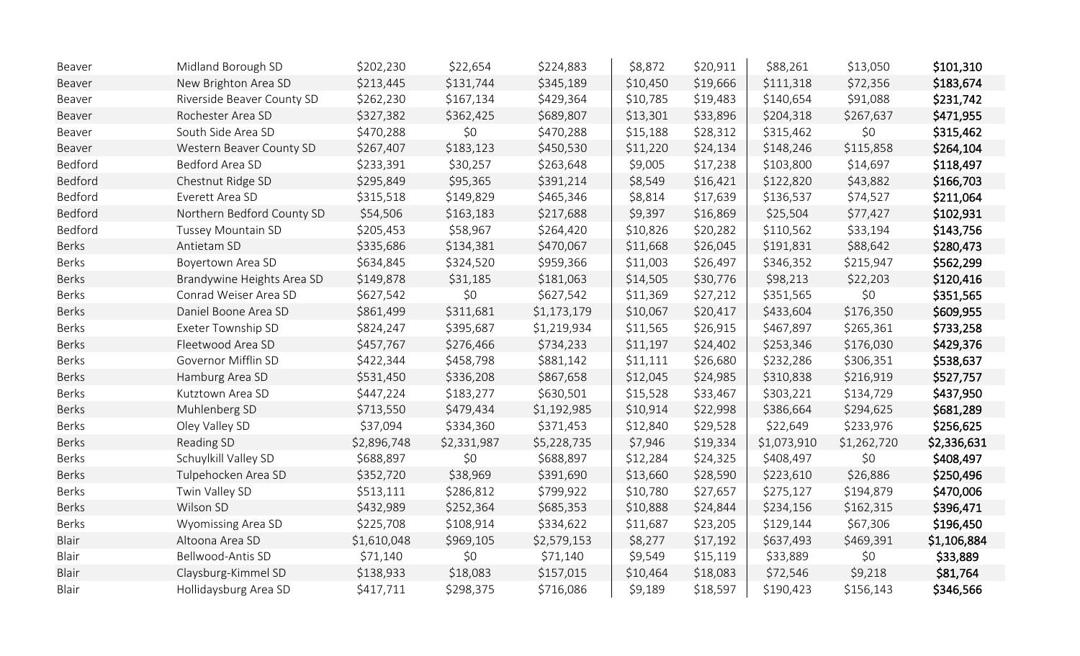| Beaver       | Midland Borough SD         | \$202,230   | \$22,654    | \$224,883   | \$8,872  | \$20,911 | \$88,261    | \$13,050    | \$101,310   |
|--------------|----------------------------|-------------|-------------|-------------|----------|----------|-------------|-------------|-------------|
| Beaver       | New Brighton Area SD       | \$213,445   | \$131,744   | \$345,189   | \$10,450 | \$19,666 | \$111,318   | \$72,356    | \$183,674   |
| Beaver       | Riverside Beaver County SD | \$262,230   | \$167,134   | \$429,364   | \$10,785 | \$19,483 | \$140,654   | \$91,088    | \$231,742   |
| Beaver       | Rochester Area SD          | \$327,382   | \$362,425   | \$689,807   | \$13,301 | \$33,896 | \$204,318   | \$267,637   | \$471,955   |
| Beaver       | South Side Area SD         | \$470,288   | \$0         | \$470,288   | \$15,188 | \$28,312 | \$315,462   | \$0         | \$315,462   |
| Beaver       | Western Beaver County SD   | \$267,407   | \$183,123   | \$450,530   | \$11,220 | \$24,134 | \$148,246   | \$115,858   | \$264,104   |
| Bedford      | Bedford Area SD            | \$233,391   | \$30,257    | \$263,648   | \$9,005  | \$17,238 | \$103,800   | \$14,697    | \$118,497   |
| Bedford      | Chestnut Ridge SD          | \$295,849   | \$95,365    | \$391,214   | \$8,549  | \$16,421 | \$122,820   | \$43,882    | \$166,703   |
| Bedford      | Everett Area SD            | \$315,518   | \$149,829   | \$465,346   | \$8,814  | \$17,639 | \$136,537   | \$74,527    | \$211,064   |
| Bedford      | Northern Bedford County SD | \$54,506    | \$163,183   | \$217,688   | \$9,397  | \$16,869 | \$25,504    | \$77,427    | \$102,931   |
| Bedford      | Tussey Mountain SD         | \$205,453   | \$58,967    | \$264,420   | \$10,826 | \$20,282 | \$110,562   | \$33,194    | \$143,756   |
| <b>Berks</b> | Antietam SD                | \$335,686   | \$134,381   | \$470,067   | \$11,668 | \$26,045 | \$191,831   | \$88,642    | \$280,473   |
| <b>Berks</b> | Boyertown Area SD          | \$634,845   | \$324,520   | \$959,366   | \$11,003 | \$26,497 | \$346,352   | \$215,947   | \$562,299   |
| <b>Berks</b> | Brandywine Heights Area SD | \$149,878   | \$31,185    | \$181,063   | \$14,505 | \$30,776 | \$98,213    | \$22,203    | \$120,416   |
| <b>Berks</b> | Conrad Weiser Area SD      | \$627,542   | \$0         | \$627,542   | \$11,369 | \$27,212 | \$351,565   | \$0         | \$351,565   |
| <b>Berks</b> | Daniel Boone Area SD       | \$861,499   | \$311,681   | \$1,173,179 | \$10,067 | \$20,417 | \$433,604   | \$176,350   | \$609,955   |
| <b>Berks</b> | Exeter Township SD         | \$824,247   | \$395,687   | \$1,219,934 | \$11,565 | \$26,915 | \$467,897   | \$265,361   | \$733,258   |
| <b>Berks</b> | Fleetwood Area SD          | \$457,767   | \$276,466   | \$734,233   | \$11,197 | \$24,402 | \$253,346   | \$176,030   | \$429,376   |
| <b>Berks</b> | Governor Mifflin SD        | \$422,344   | \$458,798   | \$881,142   | \$11,111 | \$26,680 | \$232,286   | \$306,351   | \$538,637   |
| <b>Berks</b> | Hamburg Area SD            | \$531,450   | \$336,208   | \$867,658   | \$12,045 | \$24,985 | \$310,838   | \$216,919   | \$527,757   |
| <b>Berks</b> | Kutztown Area SD           | \$447,224   | \$183,277   | \$630,501   | \$15,528 | \$33,467 | \$303,221   | \$134,729   | \$437,950   |
| <b>Berks</b> | Muhlenberg SD              | \$713,550   | \$479,434   | \$1,192,985 | \$10,914 | \$22,998 | \$386,664   | \$294,625   | \$681,289   |
| <b>Berks</b> | Oley Valley SD             | \$37,094    | \$334,360   | \$371,453   | \$12,840 | \$29,528 | \$22,649    | \$233,976   | \$256,625   |
| <b>Berks</b> | Reading SD                 | \$2,896,748 | \$2,331,987 | \$5,228,735 | \$7,946  | \$19,334 | \$1,073,910 | \$1,262,720 | \$2,336,631 |
| <b>Berks</b> | Schuylkill Valley SD       | \$688,897   | \$0         | \$688,897   | \$12,284 | \$24,325 | \$408,497   | \$0         | \$408,497   |
| <b>Berks</b> | Tulpehocken Area SD        | \$352,720   | \$38,969    | \$391,690   | \$13,660 | \$28,590 | \$223,610   | \$26,886    | \$250,496   |
| <b>Berks</b> | Twin Valley SD             | \$513,111   | \$286,812   | \$799,922   | \$10,780 | \$27,657 | \$275,127   | \$194,879   | \$470,006   |
| <b>Berks</b> | Wilson SD                  | \$432,989   | \$252,364   | \$685,353   | \$10,888 | \$24,844 | \$234,156   | \$162,315   | \$396,471   |
| <b>Berks</b> | <b>Wyomissing Area SD</b>  | \$225,708   | \$108,914   | \$334,622   | \$11,687 | \$23,205 | \$129,144   | \$67,306    | \$196,450   |
| <b>Blair</b> | Altoona Area SD            | \$1,610,048 | \$969,105   | \$2,579,153 | \$8,277  | \$17,192 | \$637,493   | \$469,391   | \$1,106,884 |
| Blair        | Bellwood-Antis SD          | \$71,140    | \$0         | \$71,140    | \$9,549  | \$15,119 | \$33,889    | \$0         | \$33,889    |
| Blair        | Claysburg-Kimmel SD        | \$138,933   | \$18,083    | \$157,015   | \$10,464 | \$18,083 | \$72,546    | \$9,218     | \$81,764    |
| Blair        | Hollidaysburg Area SD      | \$417,711   | \$298,375   | \$716,086   | \$9,189  | \$18,597 | \$190,423   | \$156,143   | \$346,566   |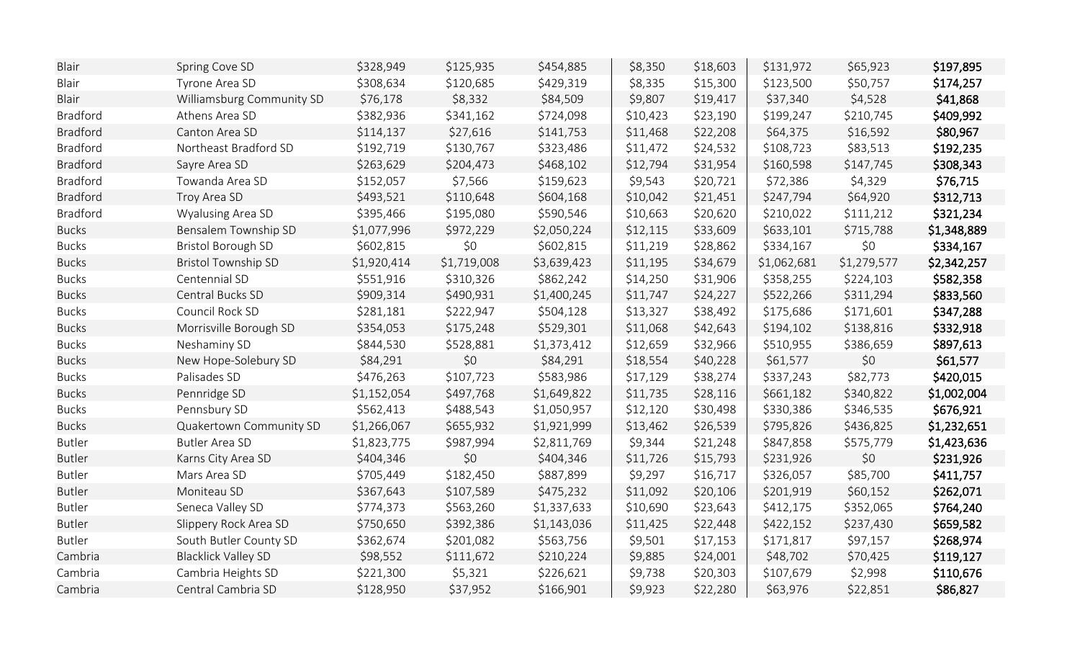| Blair           | Spring Cove SD             | \$328,949   | \$125,935   | \$454,885   | \$8,350  | \$18,603 | \$131,972   | \$65,923    | \$197,895   |
|-----------------|----------------------------|-------------|-------------|-------------|----------|----------|-------------|-------------|-------------|
| Blair           | Tyrone Area SD             | \$308,634   | \$120,685   | \$429,319   | \$8,335  | \$15,300 | \$123,500   | \$50,757    | \$174,257   |
| Blair           | Williamsburg Community SD  | \$76,178    | \$8,332     | \$84,509    | \$9,807  | \$19,417 | \$37,340    | \$4,528     | \$41,868    |
| <b>Bradford</b> | Athens Area SD             | \$382,936   | \$341,162   | \$724,098   | \$10,423 | \$23,190 | \$199,247   | \$210,745   | \$409,992   |
| <b>Bradford</b> | Canton Area SD             | \$114,137   | \$27,616    | \$141,753   | \$11,468 | \$22,208 | \$64,375    | \$16,592    | \$80,967    |
| <b>Bradford</b> | Northeast Bradford SD      | \$192,719   | \$130,767   | \$323,486   | \$11,472 | \$24,532 | \$108,723   | \$83,513    | \$192,235   |
| <b>Bradford</b> | Sayre Area SD              | \$263,629   | \$204,473   | \$468,102   | \$12,794 | \$31,954 | \$160,598   | \$147,745   | \$308,343   |
| <b>Bradford</b> | Towanda Area SD            | \$152,057   | \$7,566     | \$159,623   | \$9,543  | \$20,721 | \$72,386    | \$4,329     | \$76,715    |
| <b>Bradford</b> | Troy Area SD               | \$493,521   | \$110,648   | \$604,168   | \$10,042 | \$21,451 | \$247,794   | \$64,920    | \$312,713   |
| <b>Bradford</b> | Wyalusing Area SD          | \$395,466   | \$195,080   | \$590,546   | \$10,663 | \$20,620 | \$210,022   | \$111,212   | \$321,234   |
| <b>Bucks</b>    | Bensalem Township SD       | \$1,077,996 | \$972,229   | \$2,050,224 | \$12,115 | \$33,609 | \$633,101   | \$715,788   | \$1,348,889 |
| <b>Bucks</b>    | <b>Bristol Borough SD</b>  | \$602,815   | \$0         | \$602,815   | \$11,219 | \$28,862 | \$334,167   | \$0         | \$334,167   |
| <b>Bucks</b>    | <b>Bristol Township SD</b> | \$1,920,414 | \$1,719,008 | \$3,639,423 | \$11,195 | \$34,679 | \$1,062,681 | \$1,279,577 | \$2,342,257 |
| <b>Bucks</b>    | Centennial SD              | \$551,916   | \$310,326   | \$862,242   | \$14,250 | \$31,906 | \$358,255   | \$224,103   | \$582,358   |
| <b>Bucks</b>    | Central Bucks SD           | \$909,314   | \$490,931   | \$1,400,245 | \$11,747 | \$24,227 | \$522,266   | \$311,294   | \$833,560   |
| <b>Bucks</b>    | Council Rock SD            | \$281,181   | \$222,947   | \$504,128   | \$13,327 | \$38,492 | \$175,686   | \$171,601   | \$347,288   |
| <b>Bucks</b>    | Morrisville Borough SD     | \$354,053   | \$175,248   | \$529,301   | \$11,068 | \$42,643 | \$194,102   | \$138,816   | \$332,918   |
| <b>Bucks</b>    | Neshaminy SD               | \$844,530   | \$528,881   | \$1,373,412 | \$12,659 | \$32,966 | \$510,955   | \$386,659   | \$897,613   |
| <b>Bucks</b>    | New Hope-Solebury SD       | \$84,291    | \$0         | \$84,291    | \$18,554 | \$40,228 | \$61,577    | \$0         | \$61,577    |
| <b>Bucks</b>    | Palisades SD               | \$476,263   | \$107,723   | \$583,986   | \$17,129 | \$38,274 | \$337,243   | \$82,773    | \$420,015   |
| <b>Bucks</b>    | Pennridge SD               | \$1,152,054 | \$497,768   | \$1,649,822 | \$11,735 | \$28,116 | \$661,182   | \$340,822   | \$1,002,004 |
| <b>Bucks</b>    | Pennsbury SD               | \$562,413   | \$488,543   | \$1,050,957 | \$12,120 | \$30,498 | \$330,386   | \$346,535   | \$676,921   |
| <b>Bucks</b>    | Quakertown Community SD    | \$1,266,067 | \$655,932   | \$1,921,999 | \$13,462 | \$26,539 | \$795,826   | \$436,825   | \$1,232,651 |
| <b>Butler</b>   | <b>Butler Area SD</b>      | \$1,823,775 | \$987,994   | \$2,811,769 | \$9,344  | \$21,248 | \$847,858   | \$575,779   | \$1,423,636 |
| <b>Butler</b>   | Karns City Area SD         | \$404,346   | \$0         | \$404,346   | \$11,726 | \$15,793 | \$231,926   | \$0         | \$231,926   |
| <b>Butler</b>   | Mars Area SD               | \$705,449   | \$182,450   | \$887,899   | \$9,297  | \$16,717 | \$326,057   | \$85,700    | \$411,757   |
| <b>Butler</b>   | Moniteau SD                | \$367,643   | \$107,589   | \$475,232   | \$11,092 | \$20,106 | \$201,919   | \$60,152    | \$262,071   |
| <b>Butler</b>   | Seneca Valley SD           | \$774,373   | \$563,260   | \$1,337,633 | \$10,690 | \$23,643 | \$412,175   | \$352,065   | \$764,240   |
| <b>Butler</b>   | Slippery Rock Area SD      | \$750,650   | \$392,386   | \$1,143,036 | \$11,425 | \$22,448 | \$422,152   | \$237,430   | \$659,582   |
| <b>Butler</b>   | South Butler County SD     | \$362,674   | \$201,082   | \$563,756   | \$9,501  | \$17,153 | \$171,817   | \$97,157    | \$268,974   |
| Cambria         | <b>Blacklick Valley SD</b> | \$98,552    | \$111,672   | \$210,224   | \$9,885  | \$24,001 | \$48,702    | \$70,425    | \$119,127   |
| Cambria         | Cambria Heights SD         | \$221,300   | \$5,321     | \$226,621   | \$9,738  | \$20,303 | \$107,679   | \$2,998     | \$110,676   |
| Cambria         | Central Cambria SD         | \$128,950   | \$37,952    | \$166,901   | \$9,923  | \$22,280 | \$63,976    | \$22,851    | \$86,827    |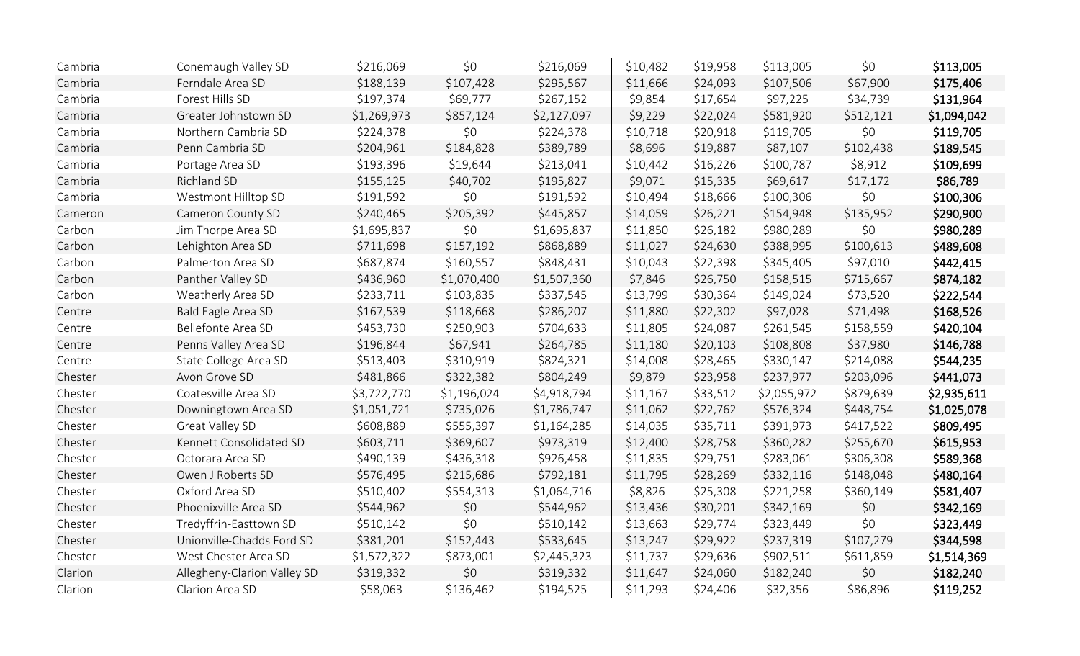| Cambria | Conemaugh Valley SD         | \$216,069   | \$0         | \$216,069   | \$10,482 | \$19,958 | \$113,005   | \$0       | \$113,005   |
|---------|-----------------------------|-------------|-------------|-------------|----------|----------|-------------|-----------|-------------|
| Cambria | Ferndale Area SD            | \$188,139   | \$107,428   | \$295,567   | \$11,666 | \$24,093 | \$107,506   | \$67,900  | \$175,406   |
| Cambria | Forest Hills SD             | \$197,374   | \$69,777    | \$267,152   | \$9,854  | \$17,654 | \$97,225    | \$34,739  | \$131,964   |
| Cambria | Greater Johnstown SD        | \$1,269,973 | \$857,124   | \$2,127,097 | \$9,229  | \$22,024 | \$581,920   | \$512,121 | \$1,094,042 |
| Cambria | Northern Cambria SD         | \$224,378   | \$0         | \$224,378   | \$10,718 | \$20,918 | \$119,705   | \$0       | \$119,705   |
| Cambria | Penn Cambria SD             | \$204,961   | \$184,828   | \$389,789   | \$8,696  | \$19,887 | \$87,107    | \$102,438 | \$189,545   |
| Cambria | Portage Area SD             | \$193,396   | \$19,644    | \$213,041   | \$10,442 | \$16,226 | \$100,787   | \$8,912   | \$109,699   |
| Cambria | <b>Richland SD</b>          | \$155,125   | \$40,702    | \$195,827   | \$9,071  | \$15,335 | \$69,617    | \$17,172  | \$86,789    |
| Cambria | Westmont Hilltop SD         | \$191,592   | \$0         | \$191,592   | \$10,494 | \$18,666 | \$100,306   | \$0       | \$100,306   |
| Cameron | Cameron County SD           | \$240,465   | \$205,392   | \$445,857   | \$14,059 | \$26,221 | \$154,948   | \$135,952 | \$290,900   |
| Carbon  | Jim Thorpe Area SD          | \$1,695,837 | \$0         | \$1,695,837 | \$11,850 | \$26,182 | \$980,289   | \$0       | \$980,289   |
| Carbon  | Lehighton Area SD           | \$711,698   | \$157,192   | \$868,889   | \$11,027 | \$24,630 | \$388,995   | \$100,613 | \$489,608   |
| Carbon  | Palmerton Area SD           | \$687,874   | \$160,557   | \$848,431   | \$10,043 | \$22,398 | \$345,405   | \$97,010  | \$442,415   |
| Carbon  | Panther Valley SD           | \$436,960   | \$1,070,400 | \$1,507,360 | \$7,846  | \$26,750 | \$158,515   | \$715,667 | \$874,182   |
| Carbon  | Weatherly Area SD           | \$233,711   | \$103,835   | \$337,545   | \$13,799 | \$30,364 | \$149,024   | \$73,520  | \$222,544   |
| Centre  | Bald Eagle Area SD          | \$167,539   | \$118,668   | \$286,207   | \$11,880 | \$22,302 | \$97,028    | \$71,498  | \$168,526   |
| Centre  | Bellefonte Area SD          | \$453,730   | \$250,903   | \$704,633   | \$11,805 | \$24,087 | \$261,545   | \$158,559 | \$420,104   |
| Centre  | Penns Valley Area SD        | \$196,844   | \$67,941    | \$264,785   | \$11,180 | \$20,103 | \$108,808   | \$37,980  | \$146,788   |
| Centre  | State College Area SD       | \$513,403   | \$310,919   | \$824,321   | \$14,008 | \$28,465 | \$330,147   | \$214,088 | \$544,235   |
| Chester | Avon Grove SD               | \$481,866   | \$322,382   | \$804,249   | \$9,879  | \$23,958 | \$237,977   | \$203,096 | \$441,073   |
| Chester | Coatesville Area SD         | \$3,722,770 | \$1,196,024 | \$4,918,794 | \$11,167 | \$33,512 | \$2,055,972 | \$879,639 | \$2,935,611 |
| Chester | Downingtown Area SD         | \$1,051,721 | \$735,026   | \$1,786,747 | \$11,062 | \$22,762 | \$576,324   | \$448,754 | \$1,025,078 |
| Chester | <b>Great Valley SD</b>      | \$608,889   | \$555,397   | \$1,164,285 | \$14,035 | \$35,711 | \$391,973   | \$417,522 | \$809,495   |
| Chester | Kennett Consolidated SD     | \$603,711   | \$369,607   | \$973,319   | \$12,400 | \$28,758 | \$360,282   | \$255,670 | \$615,953   |
| Chester | Octorara Area SD            | \$490,139   | \$436,318   | \$926,458   | \$11,835 | \$29,751 | \$283,061   | \$306,308 | \$589,368   |
| Chester | Owen J Roberts SD           | \$576,495   | \$215,686   | \$792,181   | \$11,795 | \$28,269 | \$332,116   | \$148,048 | \$480,164   |
| Chester | Oxford Area SD              | \$510,402   | \$554,313   | \$1,064,716 | \$8,826  | \$25,308 | \$221,258   | \$360,149 | \$581,407   |
| Chester | Phoenixville Area SD        | \$544,962   | \$0         | \$544,962   | \$13,436 | \$30,201 | \$342,169   | \$0       | \$342,169   |
| Chester | Tredyffrin-Easttown SD      | \$510,142   | \$0\$       | \$510,142   | \$13,663 | \$29,774 | \$323,449   | \$0       | \$323,449   |
| Chester | Unionville-Chadds Ford SD   | \$381,201   | \$152,443   | \$533,645   | \$13,247 | \$29,922 | \$237,319   | \$107,279 | \$344,598   |
| Chester | West Chester Area SD        | \$1,572,322 | \$873,001   | \$2,445,323 | \$11,737 | \$29,636 | \$902,511   | \$611,859 | \$1,514,369 |
| Clarion | Allegheny-Clarion Valley SD | \$319,332   | \$0         | \$319,332   | \$11,647 | \$24,060 | \$182,240   | \$0       | \$182,240   |
| Clarion | Clarion Area SD             | \$58,063    | \$136,462   | \$194,525   | \$11,293 | \$24,406 | \$32,356    | \$86,896  | \$119,252   |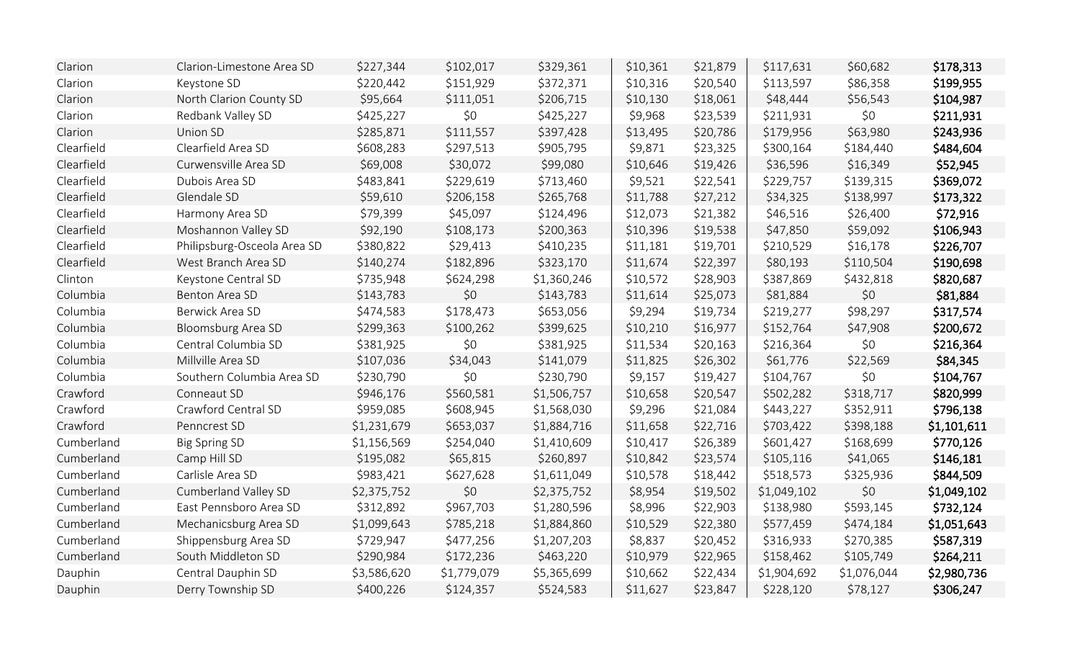| Clarion    | Clarion-Limestone Area SD   | \$227,344   | \$102,017   | \$329,361   | \$10,361 | \$21,879 | \$117,631   | \$60,682    | \$178,313   |
|------------|-----------------------------|-------------|-------------|-------------|----------|----------|-------------|-------------|-------------|
| Clarion    | Keystone SD                 | \$220,442   | \$151,929   | \$372,371   | \$10,316 | \$20,540 | \$113,597   | \$86,358    | \$199,955   |
| Clarion    | North Clarion County SD     | \$95,664    | \$111,051   | \$206,715   | \$10,130 | \$18,061 | \$48,444    | \$56,543    | \$104,987   |
| Clarion    | Redbank Valley SD           | \$425,227   | \$0         | \$425,227   | \$9,968  | \$23,539 | \$211,931   | \$0         | \$211,931   |
| Clarion    | Union SD                    | \$285,871   | \$111,557   | \$397,428   | \$13,495 | \$20,786 | \$179,956   | \$63,980    | \$243,936   |
| Clearfield | Clearfield Area SD          | \$608,283   | \$297,513   | \$905,795   | \$9,871  | \$23,325 | \$300,164   | \$184,440   | \$484,604   |
| Clearfield | Curwensville Area SD        | \$69,008    | \$30,072    | \$99,080    | \$10,646 | \$19,426 | \$36,596    | \$16,349    | \$52,945    |
| Clearfield | Dubois Area SD              | \$483,841   | \$229,619   | \$713,460   | \$9,521  | \$22,541 | \$229,757   | \$139,315   | \$369,072   |
| Clearfield | Glendale SD                 | \$59,610    | \$206,158   | \$265,768   | \$11,788 | \$27,212 | \$34,325    | \$138,997   | \$173,322   |
| Clearfield | Harmony Area SD             | \$79,399    | \$45,097    | \$124,496   | \$12,073 | \$21,382 | \$46,516    | \$26,400    | \$72,916    |
| Clearfield | Moshannon Valley SD         | \$92,190    | \$108,173   | \$200,363   | \$10,396 | \$19,538 | \$47,850    | \$59,092    | \$106,943   |
| Clearfield | Philipsburg-Osceola Area SD | \$380,822   | \$29,413    | \$410,235   | \$11,181 | \$19,701 | \$210,529   | \$16,178    | \$226,707   |
| Clearfield | West Branch Area SD         | \$140,274   | \$182,896   | \$323,170   | \$11,674 | \$22,397 | \$80,193    | \$110,504   | \$190,698   |
| Clinton    | Keystone Central SD         | \$735,948   | \$624,298   | \$1,360,246 | \$10,572 | \$28,903 | \$387,869   | \$432,818   | \$820,687   |
| Columbia   | Benton Area SD              | \$143,783   | \$0         | \$143,783   | \$11,614 | \$25,073 | \$81,884    | \$0         | \$81,884    |
| Columbia   | Berwick Area SD             | \$474,583   | \$178,473   | \$653,056   | \$9,294  | \$19,734 | \$219,277   | \$98,297    | \$317,574   |
| Columbia   | Bloomsburg Area SD          | \$299,363   | \$100,262   | \$399,625   | \$10,210 | \$16,977 | \$152,764   | \$47,908    | \$200,672   |
| Columbia   | Central Columbia SD         | \$381,925   | \$0         | \$381,925   | \$11,534 | \$20,163 | \$216,364   | \$0         | \$216,364   |
| Columbia   | Millville Area SD           | \$107,036   | \$34,043    | \$141,079   | \$11,825 | \$26,302 | \$61,776    | \$22,569    | \$84,345    |
| Columbia   | Southern Columbia Area SD   | \$230,790   | \$0         | \$230,790   | \$9,157  | \$19,427 | \$104,767   | \$0         | \$104,767   |
| Crawford   | Conneaut SD                 | \$946,176   | \$560,581   | \$1,506,757 | \$10,658 | \$20,547 | \$502,282   | \$318,717   | \$820,999   |
| Crawford   | Crawford Central SD         | \$959,085   | \$608,945   | \$1,568,030 | \$9,296  | \$21,084 | \$443,227   | \$352,911   | \$796,138   |
| Crawford   | Penncrest SD                | \$1,231,679 | \$653,037   | \$1,884,716 | \$11,658 | \$22,716 | \$703,422   | \$398,188   | \$1,101,611 |
| Cumberland | <b>Big Spring SD</b>        | \$1,156,569 | \$254,040   | \$1,410,609 | \$10,417 | \$26,389 | \$601,427   | \$168,699   | \$770,126   |
| Cumberland | Camp Hill SD                | \$195,082   | \$65,815    | \$260,897   | \$10,842 | \$23,574 | \$105,116   | \$41,065    | \$146,181   |
| Cumberland | Carlisle Area SD            | \$983,421   | \$627,628   | \$1,611,049 | \$10,578 | \$18,442 | \$518,573   | \$325,936   | \$844,509   |
| Cumberland | Cumberland Valley SD        | \$2,375,752 | \$0         | \$2,375,752 | \$8,954  | \$19,502 | \$1,049,102 | \$0         | \$1,049,102 |
| Cumberland | East Pennsboro Area SD      | \$312,892   | \$967,703   | \$1,280,596 | \$8,996  | \$22,903 | \$138,980   | \$593,145   | \$732,124   |
| Cumberland | Mechanicsburg Area SD       | \$1,099,643 | \$785,218   | \$1,884,860 | \$10,529 | \$22,380 | \$577,459   | \$474,184   | \$1,051,643 |
| Cumberland | Shippensburg Area SD        | \$729,947   | \$477,256   | \$1,207,203 | \$8,837  | \$20,452 | \$316,933   | \$270,385   | \$587,319   |
| Cumberland | South Middleton SD          | \$290,984   | \$172,236   | \$463,220   | \$10,979 | \$22,965 | \$158,462   | \$105,749   | \$264,211   |
| Dauphin    | Central Dauphin SD          | \$3,586,620 | \$1,779,079 | \$5,365,699 | \$10,662 | \$22,434 | \$1,904,692 | \$1,076,044 | \$2,980,736 |
| Dauphin    | Derry Township SD           | \$400,226   | \$124,357   | \$524,583   | \$11,627 | \$23,847 | \$228,120   | \$78,127    | \$306,247   |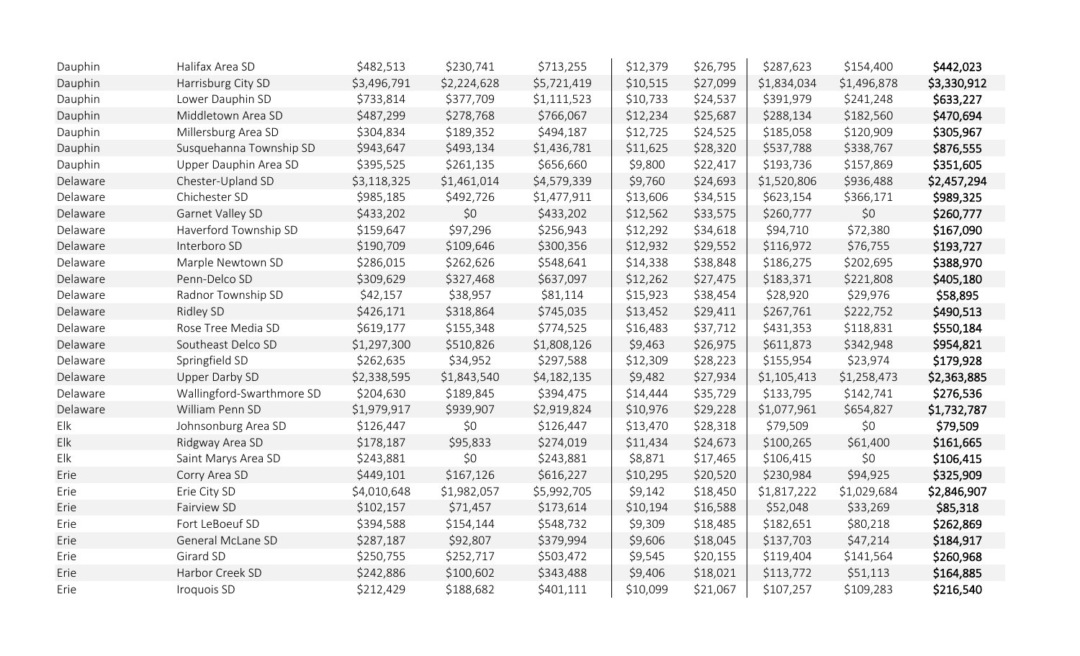| Dauphin  | Halifax Area SD           | \$482,513   | \$230,741   | \$713,255   | \$12,379 | \$26,795 | \$287,623   | \$154,400   | \$442,023   |
|----------|---------------------------|-------------|-------------|-------------|----------|----------|-------------|-------------|-------------|
| Dauphin  | Harrisburg City SD        | \$3,496,791 | \$2,224,628 | \$5,721,419 | \$10,515 | \$27,099 | \$1,834,034 | \$1,496,878 | \$3,330,912 |
| Dauphin  | Lower Dauphin SD          | \$733,814   | \$377,709   | \$1,111,523 | \$10,733 | \$24,537 | \$391,979   | \$241,248   | \$633,227   |
| Dauphin  | Middletown Area SD        | \$487,299   | \$278,768   | \$766,067   | \$12,234 | \$25,687 | \$288,134   | \$182,560   | \$470,694   |
| Dauphin  | Millersburg Area SD       | \$304,834   | \$189,352   | \$494,187   | \$12,725 | \$24,525 | \$185,058   | \$120,909   | \$305,967   |
| Dauphin  | Susquehanna Township SD   | \$943,647   | \$493,134   | \$1,436,781 | \$11,625 | \$28,320 | \$537,788   | \$338,767   | \$876,555   |
| Dauphin  | Upper Dauphin Area SD     | \$395,525   | \$261,135   | \$656,660   | \$9,800  | \$22,417 | \$193,736   | \$157,869   | \$351,605   |
| Delaware | Chester-Upland SD         | \$3,118,325 | \$1,461,014 | \$4,579,339 | \$9,760  | \$24,693 | \$1,520,806 | \$936,488   | \$2,457,294 |
| Delaware | Chichester SD             | \$985,185   | \$492,726   | \$1,477,911 | \$13,606 | \$34,515 | \$623,154   | \$366,171   | \$989,325   |
| Delaware | Garnet Valley SD          | \$433,202   | \$0         | \$433,202   | \$12,562 | \$33,575 | \$260,777   | \$0         | \$260,777   |
| Delaware | Haverford Township SD     | \$159,647   | \$97,296    | \$256,943   | \$12,292 | \$34,618 | \$94,710    | \$72,380    | \$167,090   |
| Delaware | Interboro SD              | \$190,709   | \$109,646   | \$300,356   | \$12,932 | \$29,552 | \$116,972   | \$76,755    | \$193,727   |
| Delaware | Marple Newtown SD         | \$286,015   | \$262,626   | \$548,641   | \$14,338 | \$38,848 | \$186,275   | \$202,695   | \$388,970   |
| Delaware | Penn-Delco SD             | \$309,629   | \$327,468   | \$637,097   | \$12,262 | \$27,475 | \$183,371   | \$221,808   | \$405,180   |
| Delaware | Radnor Township SD        | \$42,157    | \$38,957    | \$81,114    | \$15,923 | \$38,454 | \$28,920    | \$29,976    | \$58,895    |
| Delaware | Ridley SD                 | \$426,171   | \$318,864   | \$745,035   | \$13,452 | \$29,411 | \$267,761   | \$222,752   | \$490,513   |
| Delaware | Rose Tree Media SD        | \$619,177   | \$155,348   | \$774,525   | \$16,483 | \$37,712 | \$431,353   | \$118,831   | \$550,184   |
| Delaware | Southeast Delco SD        | \$1,297,300 | \$510,826   | \$1,808,126 | \$9,463  | \$26,975 | \$611,873   | \$342,948   | \$954,821   |
| Delaware | Springfield SD            | \$262,635   | \$34,952    | \$297,588   | \$12,309 | \$28,223 | \$155,954   | \$23,974    | \$179,928   |
| Delaware | <b>Upper Darby SD</b>     | \$2,338,595 | \$1,843,540 | \$4,182,135 | \$9,482  | \$27,934 | \$1,105,413 | \$1,258,473 | \$2,363,885 |
| Delaware | Wallingford-Swarthmore SD | \$204,630   | \$189,845   | \$394,475   | \$14,444 | \$35,729 | \$133,795   | \$142,741   | \$276,536   |
| Delaware | William Penn SD           | \$1,979,917 | \$939,907   | \$2,919,824 | \$10,976 | \$29,228 | \$1,077,961 | \$654,827   | \$1,732,787 |
| Elk      | Johnsonburg Area SD       | \$126,447   | \$0         | \$126,447   | \$13,470 | \$28,318 | \$79,509    | \$0         | \$79,509    |
| Elk      | Ridgway Area SD           | \$178,187   | \$95,833    | \$274,019   | \$11,434 | \$24,673 | \$100,265   | \$61,400    | \$161,665   |
| Elk      | Saint Marys Area SD       | \$243,881   | \$0         | \$243,881   | \$8,871  | \$17,465 | \$106,415   | \$0         | \$106,415   |
| Erie     | Corry Area SD             | \$449,101   | \$167,126   | \$616,227   | \$10,295 | \$20,520 | \$230,984   | \$94,925    | \$325,909   |
| Erie     | Erie City SD              | \$4,010,648 | \$1,982,057 | \$5,992,705 | \$9,142  | \$18,450 | \$1,817,222 | \$1,029,684 | \$2,846,907 |
| Erie     | Fairview SD               | \$102,157   | \$71,457    | \$173,614   | \$10,194 | \$16,588 | \$52,048    | \$33,269    | \$85,318    |
| Erie     | Fort LeBoeuf SD           | \$394,588   | \$154,144   | \$548,732   | \$9,309  | \$18,485 | \$182,651   | \$80,218    | \$262,869   |
| Erie     | General McLane SD         | \$287,187   | \$92,807    | \$379,994   | \$9,606  | \$18,045 | \$137,703   | \$47,214    | \$184,917   |
| Erie     | Girard SD                 | \$250,755   | \$252,717   | \$503,472   | \$9,545  | \$20,155 | \$119,404   | \$141,564   | \$260,968   |
| Erie     | Harbor Creek SD           | \$242,886   | \$100,602   | \$343,488   | \$9,406  | \$18,021 | \$113,772   | \$51,113    | \$164,885   |
| Erie     | Iroquois SD               | \$212,429   | \$188,682   | \$401,111   | \$10,099 | \$21,067 | \$107,257   | \$109,283   | \$216,540   |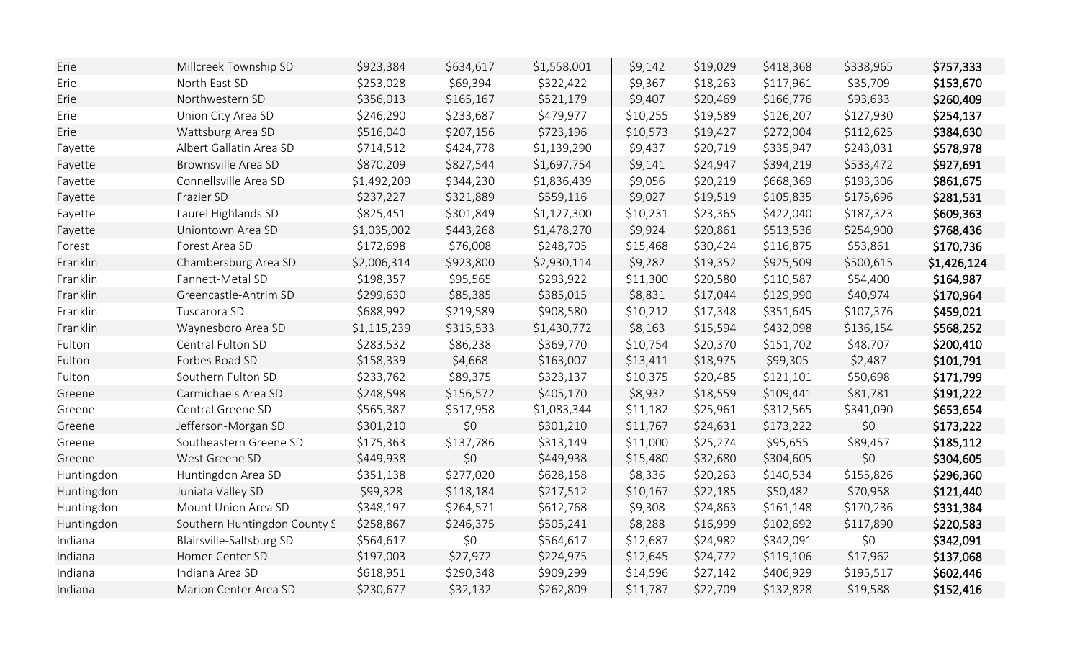| Erie       | Millcreek Township SD        | \$923,384   | \$634,617 | \$1,558,001 | \$9,142  | \$19,029 | \$418,368 | \$338,965 | \$757,333   |
|------------|------------------------------|-------------|-----------|-------------|----------|----------|-----------|-----------|-------------|
| Erie       | North East SD                | \$253,028   | \$69,394  | \$322,422   | \$9,367  | \$18,263 | \$117,961 | \$35,709  | \$153,670   |
| Erie       | Northwestern SD              | \$356,013   | \$165,167 | \$521,179   | \$9,407  | \$20,469 | \$166,776 | \$93,633  | \$260,409   |
| Erie       | Union City Area SD           | \$246,290   | \$233,687 | \$479,977   | \$10,255 | \$19,589 | \$126,207 | \$127,930 | \$254,137   |
| Erie       | Wattsburg Area SD            | \$516,040   | \$207,156 | \$723,196   | \$10,573 | \$19,427 | \$272,004 | \$112,625 | \$384,630   |
| Fayette    | Albert Gallatin Area SD      | \$714,512   | \$424,778 | \$1,139,290 | \$9,437  | \$20,719 | \$335,947 | \$243,031 | \$578,978   |
| Fayette    | Brownsville Area SD          | \$870,209   | \$827,544 | \$1,697,754 | \$9,141  | \$24,947 | \$394,219 | \$533,472 | \$927,691   |
| Fayette    | Connellsville Area SD        | \$1,492,209 | \$344,230 | \$1,836,439 | \$9,056  | \$20,219 | \$668,369 | \$193,306 | \$861,675   |
| Fayette    | Frazier SD                   | \$237,227   | \$321,889 | \$559,116   | \$9,027  | \$19,519 | \$105,835 | \$175,696 | \$281,531   |
| Fayette    | Laurel Highlands SD          | \$825,451   | \$301,849 | \$1,127,300 | \$10,231 | \$23,365 | \$422,040 | \$187,323 | \$609,363   |
| Fayette    | Uniontown Area SD            | \$1,035,002 | \$443,268 | \$1,478,270 | \$9,924  | \$20,861 | \$513,536 | \$254,900 | \$768,436   |
| Forest     | Forest Area SD               | \$172,698   | \$76,008  | \$248,705   | \$15,468 | \$30,424 | \$116,875 | \$53,861  | \$170,736   |
| Franklin   | Chambersburg Area SD         | \$2,006,314 | \$923,800 | \$2,930,114 | \$9,282  | \$19,352 | \$925,509 | \$500,615 | \$1,426,124 |
| Franklin   | Fannett-Metal SD             | \$198,357   | \$95,565  | \$293,922   | \$11,300 | \$20,580 | \$110,587 | \$54,400  | \$164,987   |
| Franklin   | Greencastle-Antrim SD        | \$299,630   | \$85,385  | \$385,015   | \$8,831  | \$17,044 | \$129,990 | \$40,974  | \$170,964   |
| Franklin   | Tuscarora SD                 | \$688,992   | \$219,589 | \$908,580   | \$10,212 | \$17,348 | \$351,645 | \$107,376 | \$459,021   |
| Franklin   | Waynesboro Area SD           | \$1,115,239 | \$315,533 | \$1,430,772 | \$8,163  | \$15,594 | \$432,098 | \$136,154 | \$568,252   |
| Fulton     | Central Fulton SD            | \$283,532   | \$86,238  | \$369,770   | \$10,754 | \$20,370 | \$151,702 | \$48,707  | \$200,410   |
| Fulton     | Forbes Road SD               | \$158,339   | \$4,668   | \$163,007   | \$13,411 | \$18,975 | \$99,305  | \$2,487   | \$101,791   |
| Fulton     | Southern Fulton SD           | \$233,762   | \$89,375  | \$323,137   | \$10,375 | \$20,485 | \$121,101 | \$50,698  | \$171,799   |
| Greene     | Carmichaels Area SD          | \$248,598   | \$156,572 | \$405,170   | \$8,932  | \$18,559 | \$109,441 | \$81,781  | \$191,222   |
| Greene     | Central Greene SD            | \$565,387   | \$517,958 | \$1,083,344 | \$11,182 | \$25,961 | \$312,565 | \$341,090 | \$653,654   |
| Greene     | Jefferson-Morgan SD          | \$301,210   | \$0       | \$301,210   | \$11,767 | \$24,631 | \$173,222 | \$0       | \$173,222   |
| Greene     | Southeastern Greene SD       | \$175,363   | \$137,786 | \$313,149   | \$11,000 | \$25,274 | \$95,655  | \$89,457  | \$185,112   |
| Greene     | West Greene SD               | \$449,938   | \$0       | \$449,938   | \$15,480 | \$32,680 | \$304,605 | \$0       | \$304,605   |
| Huntingdon | Huntingdon Area SD           | \$351,138   | \$277,020 | \$628,158   | \$8,336  | \$20,263 | \$140,534 | \$155,826 | \$296,360   |
| Huntingdon | Juniata Valley SD            | \$99,328    | \$118,184 | \$217,512   | \$10,167 | \$22,185 | \$50,482  | \$70,958  | \$121,440   |
| Huntingdon | Mount Union Area SD          | \$348,197   | \$264,571 | \$612,768   | \$9,308  | \$24,863 | \$161,148 | \$170,236 | \$331,384   |
| Huntingdon | Southern Huntingdon County S | \$258,867   | \$246,375 | \$505,241   | \$8,288  | \$16,999 | \$102,692 | \$117,890 | \$220,583   |
| Indiana    | Blairsville-Saltsburg SD     | \$564,617   | \$0       | \$564,617   | \$12,687 | \$24,982 | \$342,091 | \$0       | \$342,091   |
| Indiana    | Homer-Center SD              | \$197,003   | \$27,972  | \$224,975   | \$12,645 | \$24,772 | \$119,106 | \$17,962  | \$137,068   |
| Indiana    | Indiana Area SD              | \$618,951   | \$290,348 | \$909,299   | \$14,596 | \$27,142 | \$406,929 | \$195,517 | \$602,446   |
| Indiana    | Marion Center Area SD        | \$230,677   | \$32,132  | \$262,809   | \$11,787 | \$22,709 | \$132,828 | \$19,588  | \$152,416   |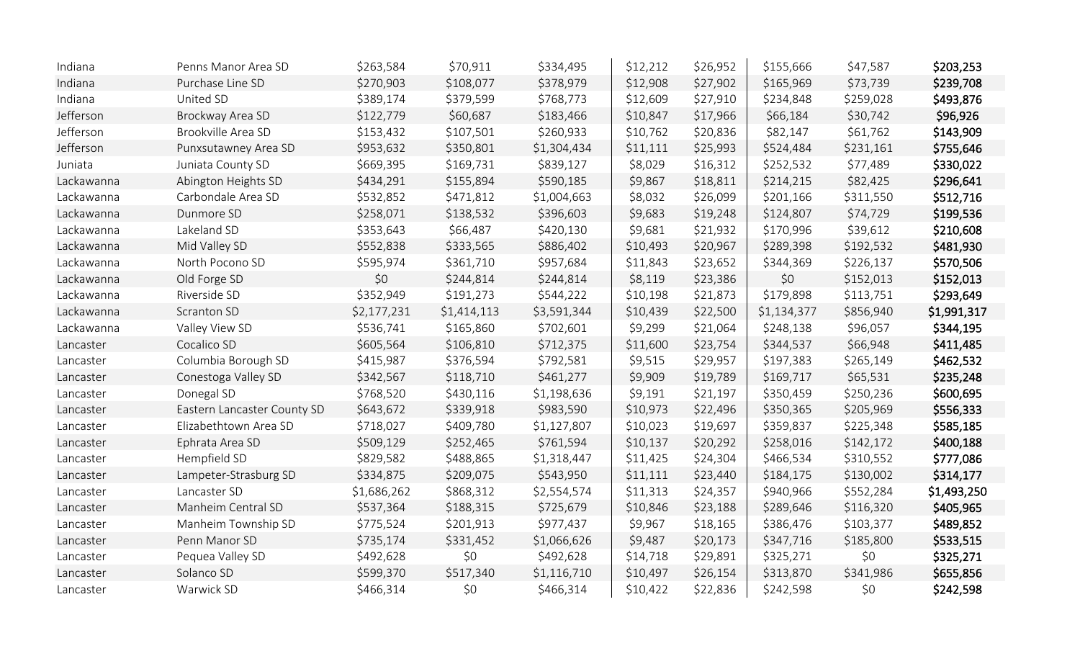| Indiana    | Penns Manor Area SD         | \$263,584   | \$70,911    | \$334,495   | \$12,212 | \$26,952 | \$155,666   | \$47,587  | \$203,253   |
|------------|-----------------------------|-------------|-------------|-------------|----------|----------|-------------|-----------|-------------|
| Indiana    | Purchase Line SD            | \$270,903   | \$108,077   | \$378,979   | \$12,908 | \$27,902 | \$165,969   | \$73,739  | \$239,708   |
| Indiana    | United SD                   | \$389,174   | \$379,599   | \$768,773   | \$12,609 | \$27,910 | \$234,848   | \$259,028 | \$493,876   |
| Jefferson  | Brockway Area SD            | \$122,779   | \$60,687    | \$183,466   | \$10,847 | \$17,966 | \$66,184    | \$30,742  | \$96,926    |
| Jefferson  | Brookville Area SD          | \$153,432   | \$107,501   | \$260,933   | \$10,762 | \$20,836 | \$82,147    | \$61,762  | \$143,909   |
| Jefferson  | Punxsutawney Area SD        | \$953,632   | \$350,801   | \$1,304,434 | \$11,111 | \$25,993 | \$524,484   | \$231,161 | \$755,646   |
| Juniata    | Juniata County SD           | \$669,395   | \$169,731   | \$839,127   | \$8,029  | \$16,312 | \$252,532   | \$77,489  | \$330,022   |
| Lackawanna | Abington Heights SD         | \$434,291   | \$155,894   | \$590,185   | \$9,867  | \$18,811 | \$214,215   | \$82,425  | \$296,641   |
| Lackawanna | Carbondale Area SD          | \$532,852   | \$471,812   | \$1,004,663 | \$8,032  | \$26,099 | \$201,166   | \$311,550 | \$512,716   |
| Lackawanna | Dunmore SD                  | \$258,071   | \$138,532   | \$396,603   | \$9,683  | \$19,248 | \$124,807   | \$74,729  | \$199,536   |
| Lackawanna | Lakeland SD                 | \$353,643   | \$66,487    | \$420,130   | \$9,681  | \$21,932 | \$170,996   | \$39,612  | \$210,608   |
| Lackawanna | Mid Valley SD               | \$552,838   | \$333,565   | \$886,402   | \$10,493 | \$20,967 | \$289,398   | \$192,532 | \$481,930   |
| Lackawanna | North Pocono SD             | \$595,974   | \$361,710   | \$957,684   | \$11,843 | \$23,652 | \$344,369   | \$226,137 | \$570,506   |
| Lackawanna | Old Forge SD                | \$0         | \$244,814   | \$244,814   | \$8,119  | \$23,386 | \$0         | \$152,013 | \$152,013   |
| Lackawanna | Riverside SD                | \$352,949   | \$191,273   | \$544,222   | \$10,198 | \$21,873 | \$179,898   | \$113,751 | \$293,649   |
| Lackawanna | Scranton SD                 | \$2,177,231 | \$1,414,113 | \$3,591,344 | \$10,439 | \$22,500 | \$1,134,377 | \$856,940 | \$1,991,317 |
| Lackawanna | Valley View SD              | \$536,741   | \$165,860   | \$702,601   | \$9,299  | \$21,064 | \$248,138   | \$96,057  | \$344,195   |
| Lancaster  | Cocalico SD                 | \$605,564   | \$106,810   | \$712,375   | \$11,600 | \$23,754 | \$344,537   | \$66,948  | \$411,485   |
| Lancaster  | Columbia Borough SD         | \$415,987   | \$376,594   | \$792,581   | \$9,515  | \$29,957 | \$197,383   | \$265,149 | \$462,532   |
| Lancaster  | Conestoga Valley SD         | \$342,567   | \$118,710   | \$461,277   | \$9,909  | \$19,789 | \$169,717   | \$65,531  | \$235,248   |
| Lancaster  | Donegal SD                  | \$768,520   | \$430,116   | \$1,198,636 | \$9,191  | \$21,197 | \$350,459   | \$250,236 | \$600,695   |
| Lancaster  | Eastern Lancaster County SD | \$643,672   | \$339,918   | \$983,590   | \$10,973 | \$22,496 | \$350,365   | \$205,969 | \$556,333   |
| Lancaster  | Elizabethtown Area SD       | \$718,027   | \$409,780   | \$1,127,807 | \$10,023 | \$19,697 | \$359,837   | \$225,348 | \$585,185   |
| Lancaster  | Ephrata Area SD             | \$509,129   | \$252,465   | \$761,594   | \$10,137 | \$20,292 | \$258,016   | \$142,172 | \$400,188   |
| Lancaster  | Hempfield SD                | \$829,582   | \$488,865   | \$1,318,447 | \$11,425 | \$24,304 | \$466,534   | \$310,552 | \$777,086   |
| Lancaster  | Lampeter-Strasburg SD       | \$334,875   | \$209,075   | \$543,950   | \$11,111 | \$23,440 | \$184,175   | \$130,002 | \$314,177   |
| Lancaster  | Lancaster SD                | \$1,686,262 | \$868,312   | \$2,554,574 | \$11,313 | \$24,357 | \$940,966   | \$552,284 | \$1,493,250 |
| Lancaster  | Manheim Central SD          | \$537,364   | \$188,315   | \$725,679   | \$10,846 | \$23,188 | \$289,646   | \$116,320 | \$405,965   |
| Lancaster  | Manheim Township SD         | \$775,524   | \$201,913   | \$977,437   | \$9,967  | \$18,165 | \$386,476   | \$103,377 | \$489,852   |
| Lancaster  | Penn Manor SD               | \$735,174   | \$331,452   | \$1,066,626 | \$9,487  | \$20,173 | \$347,716   | \$185,800 | \$533,515   |
| Lancaster  | Pequea Valley SD            | \$492,628   | \$0         | \$492,628   | \$14,718 | \$29,891 | \$325,271   | \$0       | \$325,271   |
| Lancaster  | Solanco SD                  | \$599,370   | \$517,340   | \$1,116,710 | \$10,497 | \$26,154 | \$313,870   | \$341,986 | \$655,856   |
| Lancaster  | Warwick SD                  | \$466,314   | \$0         | \$466,314   | \$10,422 | \$22,836 | \$242,598   | \$0       | \$242,598   |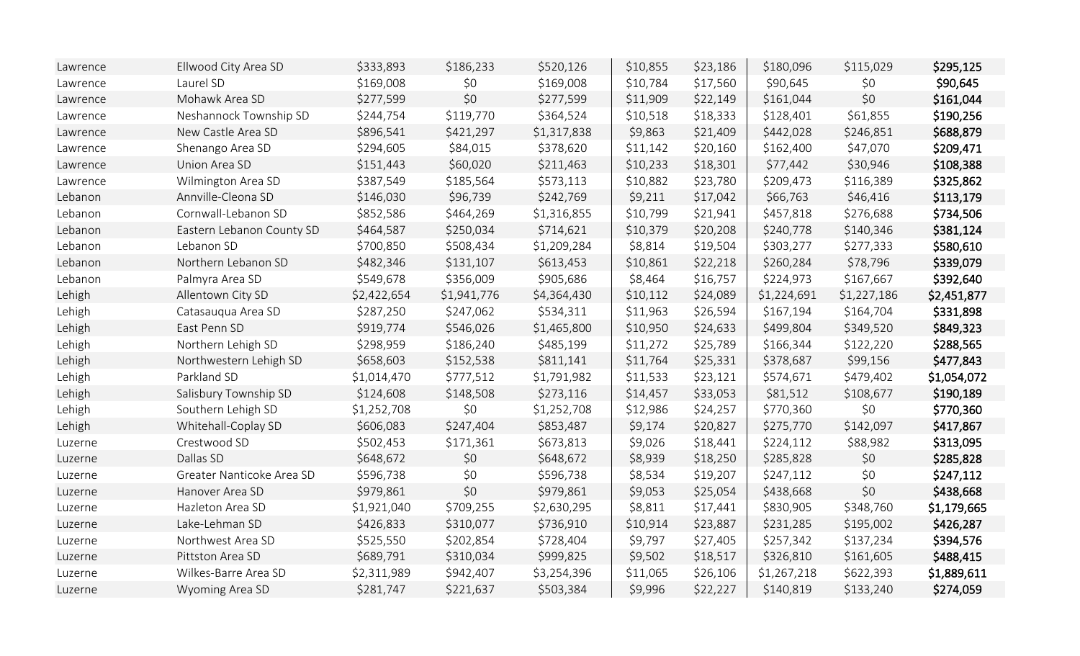| Lawrence | Ellwood City Area SD      | \$333,893   | \$186,233   | \$520,126   | \$10,855 | \$23,186 | \$180,096   | \$115,029   | \$295,125   |
|----------|---------------------------|-------------|-------------|-------------|----------|----------|-------------|-------------|-------------|
| Lawrence | Laurel SD                 | \$169,008   | \$0         | \$169,008   | \$10,784 | \$17,560 | \$90,645    | \$0         | \$90,645    |
| Lawrence | Mohawk Area SD            | \$277,599   | \$0         | \$277,599   | \$11,909 | \$22,149 | \$161,044   | \$0         | \$161,044   |
| Lawrence | Neshannock Township SD    | \$244,754   | \$119,770   | \$364,524   | \$10,518 | \$18,333 | \$128,401   | \$61,855    | \$190,256   |
| Lawrence | New Castle Area SD        | \$896,541   | \$421,297   | \$1,317,838 | \$9,863  | \$21,409 | \$442,028   | \$246,851   | \$688,879   |
| Lawrence | Shenango Area SD          | \$294,605   | \$84,015    | \$378,620   | \$11,142 | \$20,160 | \$162,400   | \$47,070    | \$209,471   |
| Lawrence | Union Area SD             | \$151,443   | \$60,020    | \$211,463   | \$10,233 | \$18,301 | \$77,442    | \$30,946    | \$108,388   |
| Lawrence | Wilmington Area SD        | \$387,549   | \$185,564   | \$573,113   | \$10,882 | \$23,780 | \$209,473   | \$116,389   | \$325,862   |
| Lebanon  | Annville-Cleona SD        | \$146,030   | \$96,739    | \$242,769   | \$9,211  | \$17,042 | \$66,763    | \$46,416    | \$113,179   |
| Lebanon  | Cornwall-Lebanon SD       | \$852,586   | \$464,269   | \$1,316,855 | \$10,799 | \$21,941 | \$457,818   | \$276,688   | \$734,506   |
| Lebanon  | Eastern Lebanon County SD | \$464,587   | \$250,034   | \$714,621   | \$10,379 | \$20,208 | \$240,778   | \$140,346   | \$381,124   |
| Lebanon  | Lebanon SD                | \$700,850   | \$508,434   | \$1,209,284 | \$8,814  | \$19,504 | \$303,277   | \$277,333   | \$580,610   |
| Lebanon  | Northern Lebanon SD       | \$482,346   | \$131,107   | \$613,453   | \$10,861 | \$22,218 | \$260,284   | \$78,796    | \$339,079   |
| Lebanon  | Palmyra Area SD           | \$549,678   | \$356,009   | \$905,686   | \$8,464  | \$16,757 | \$224,973   | \$167,667   | \$392,640   |
| Lehigh   | Allentown City SD         | \$2,422,654 | \$1,941,776 | \$4,364,430 | \$10,112 | \$24,089 | \$1,224,691 | \$1,227,186 | \$2,451,877 |
| Lehigh   | Catasauqua Area SD        | \$287,250   | \$247,062   | \$534,311   | \$11,963 | \$26,594 | \$167,194   | \$164,704   | \$331,898   |
| Lehigh   | East Penn SD              | \$919,774   | \$546,026   | \$1,465,800 | \$10,950 | \$24,633 | \$499,804   | \$349,520   | \$849,323   |
| Lehigh   | Northern Lehigh SD        | \$298,959   | \$186,240   | \$485,199   | \$11,272 | \$25,789 | \$166,344   | \$122,220   | \$288,565   |
| Lehigh   | Northwestern Lehigh SD    | \$658,603   | \$152,538   | \$811,141   | \$11,764 | \$25,331 | \$378,687   | \$99,156    | \$477,843   |
| Lehigh   | Parkland SD               | \$1,014,470 | \$777,512   | \$1,791,982 | \$11,533 | \$23,121 | \$574,671   | \$479,402   | \$1,054,072 |
| Lehigh   | Salisbury Township SD     | \$124,608   | \$148,508   | \$273,116   | \$14,457 | \$33,053 | \$81,512    | \$108,677   | \$190,189   |
| Lehigh   | Southern Lehigh SD        | \$1,252,708 | \$0         | \$1,252,708 | \$12,986 | \$24,257 | \$770,360   | \$0         | \$770,360   |
| Lehigh   | Whitehall-Coplay SD       | \$606,083   | \$247,404   | \$853,487   | \$9,174  | \$20,827 | \$275,770   | \$142,097   | \$417,867   |
| Luzerne  | Crestwood SD              | \$502,453   | \$171,361   | \$673,813   | \$9,026  | \$18,441 | \$224,112   | \$88,982    | \$313,095   |
| Luzerne  | Dallas SD                 | \$648,672   | \$0         | \$648,672   | \$8,939  | \$18,250 | \$285,828   | \$0         | \$285,828   |
| Luzerne  | Greater Nanticoke Area SD | \$596,738   | \$0         | \$596,738   | \$8,534  | \$19,207 | \$247,112   | \$0         | \$247,112   |
| Luzerne  | Hanover Area SD           | \$979,861   | \$0         | \$979,861   | \$9,053  | \$25,054 | \$438,668   | \$0         | \$438,668   |
| Luzerne  | Hazleton Area SD          | \$1,921,040 | \$709,255   | \$2,630,295 | \$8,811  | \$17,441 | \$830,905   | \$348,760   | \$1,179,665 |
| Luzerne  | Lake-Lehman SD            | \$426,833   | \$310,077   | \$736,910   | \$10,914 | \$23,887 | \$231,285   | \$195,002   | \$426,287   |
| Luzerne  | Northwest Area SD         | \$525,550   | \$202,854   | \$728,404   | \$9,797  | \$27,405 | \$257,342   | \$137,234   | \$394,576   |
| Luzerne  | Pittston Area SD          | \$689,791   | \$310,034   | \$999,825   | \$9,502  | \$18,517 | \$326,810   | \$161,605   | \$488,415   |
| Luzerne  | Wilkes-Barre Area SD      | \$2,311,989 | \$942,407   | \$3,254,396 | \$11,065 | \$26,106 | \$1,267,218 | \$622,393   | \$1,889,611 |
| Luzerne  | Wyoming Area SD           | \$281,747   | \$221,637   | \$503,384   | \$9,996  | \$22,227 | \$140,819   | \$133,240   | \$274,059   |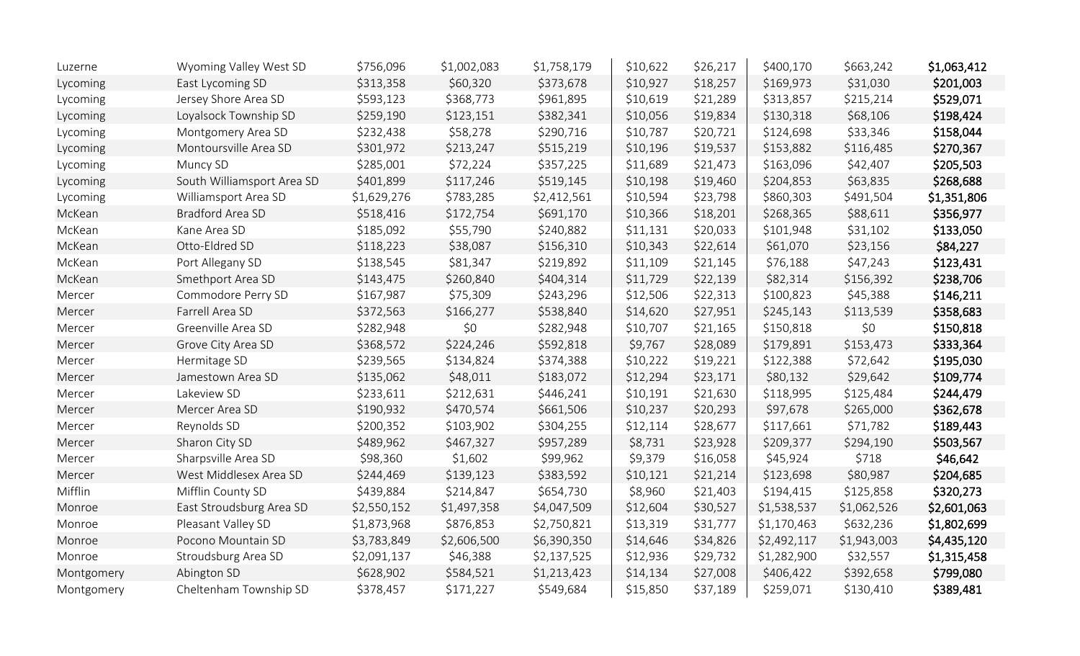| Luzerne    | Wyoming Valley West SD     | \$756,096   | \$1,002,083 | \$1,758,179 | \$10,622 | \$26,217 | \$400,170   | \$663,242   | \$1,063,412 |
|------------|----------------------------|-------------|-------------|-------------|----------|----------|-------------|-------------|-------------|
| Lycoming   | East Lycoming SD           | \$313,358   | \$60,320    | \$373,678   | \$10,927 | \$18,257 | \$169,973   | \$31,030    | \$201,003   |
| Lycoming   | Jersey Shore Area SD       | \$593,123   | \$368,773   | \$961,895   | \$10,619 | \$21,289 | \$313,857   | \$215,214   | \$529,071   |
| Lycoming   | Loyalsock Township SD      | \$259,190   | \$123,151   | \$382,341   | \$10,056 | \$19,834 | \$130,318   | \$68,106    | \$198,424   |
| Lycoming   | Montgomery Area SD         | \$232,438   | \$58,278    | \$290,716   | \$10,787 | \$20,721 | \$124,698   | \$33,346    | \$158,044   |
| Lycoming   | Montoursville Area SD      | \$301,972   | \$213,247   | \$515,219   | \$10,196 | \$19,537 | \$153,882   | \$116,485   | \$270,367   |
| Lycoming   | Muncy SD                   | \$285,001   | \$72,224    | \$357,225   | \$11,689 | \$21,473 | \$163,096   | \$42,407    | \$205,503   |
| Lycoming   | South Williamsport Area SD | \$401,899   | \$117,246   | \$519,145   | \$10,198 | \$19,460 | \$204,853   | \$63,835    | \$268,688   |
| Lycoming   | Williamsport Area SD       | \$1,629,276 | \$783,285   | \$2,412,561 | \$10,594 | \$23,798 | \$860,303   | \$491,504   | \$1,351,806 |
| McKean     | <b>Bradford Area SD</b>    | \$518,416   | \$172,754   | \$691,170   | \$10,366 | \$18,201 | \$268,365   | \$88,611    | \$356,977   |
| McKean     | Kane Area SD               | \$185,092   | \$55,790    | \$240,882   | \$11,131 | \$20,033 | \$101,948   | \$31,102    | \$133,050   |
| McKean     | Otto-Eldred SD             | \$118,223   | \$38,087    | \$156,310   | \$10,343 | \$22,614 | \$61,070    | \$23,156    | \$84,227    |
| McKean     | Port Allegany SD           | \$138,545   | \$81,347    | \$219,892   | \$11,109 | \$21,145 | \$76,188    | \$47,243    | \$123,431   |
| McKean     | Smethport Area SD          | \$143,475   | \$260,840   | \$404,314   | \$11,729 | \$22,139 | \$82,314    | \$156,392   | \$238,706   |
| Mercer     | Commodore Perry SD         | \$167,987   | \$75,309    | \$243,296   | \$12,506 | \$22,313 | \$100,823   | \$45,388    | \$146,211   |
| Mercer     | Farrell Area SD            | \$372,563   | \$166,277   | \$538,840   | \$14,620 | \$27,951 | \$245,143   | \$113,539   | \$358,683   |
| Mercer     | Greenville Area SD         | \$282,948   | \$0         | \$282,948   | \$10,707 | \$21,165 | \$150,818   | \$0         | \$150,818   |
| Mercer     | Grove City Area SD         | \$368,572   | \$224,246   | \$592,818   | \$9,767  | \$28,089 | \$179,891   | \$153,473   | \$333,364   |
| Mercer     | Hermitage SD               | \$239,565   | \$134,824   | \$374,388   | \$10,222 | \$19,221 | \$122,388   | \$72,642    | \$195,030   |
| Mercer     | Jamestown Area SD          | \$135,062   | \$48,011    | \$183,072   | \$12,294 | \$23,171 | \$80,132    | \$29,642    | \$109,774   |
| Mercer     | Lakeview SD                | \$233,611   | \$212,631   | \$446,241   | \$10,191 | \$21,630 | \$118,995   | \$125,484   | \$244,479   |
| Mercer     | Mercer Area SD             | \$190,932   | \$470,574   | \$661,506   | \$10,237 | \$20,293 | \$97,678    | \$265,000   | \$362,678   |
| Mercer     | Reynolds SD                | \$200,352   | \$103,902   | \$304,255   | \$12,114 | \$28,677 | \$117,661   | \$71,782    | \$189,443   |
| Mercer     | Sharon City SD             | \$489,962   | \$467,327   | \$957,289   | \$8,731  | \$23,928 | \$209,377   | \$294,190   | \$503,567   |
| Mercer     | Sharpsville Area SD        | \$98,360    | \$1,602     | \$99,962    | \$9,379  | \$16,058 | \$45,924    | \$718       | \$46,642    |
| Mercer     | West Middlesex Area SD     | \$244,469   | \$139,123   | \$383,592   | \$10,121 | \$21,214 | \$123,698   | \$80,987    | \$204,685   |
| Mifflin    | Mifflin County SD          | \$439,884   | \$214,847   | \$654,730   | \$8,960  | \$21,403 | \$194,415   | \$125,858   | \$320,273   |
| Monroe     | East Stroudsburg Area SD   | \$2,550,152 | \$1,497,358 | \$4,047,509 | \$12,604 | \$30,527 | \$1,538,537 | \$1,062,526 | \$2,601,063 |
| Monroe     | Pleasant Valley SD         | \$1,873,968 | \$876,853   | \$2,750,821 | \$13,319 | \$31,777 | \$1,170,463 | \$632,236   | \$1,802,699 |
| Monroe     | Pocono Mountain SD         | \$3,783,849 | \$2,606,500 | \$6,390,350 | \$14,646 | \$34,826 | \$2,492,117 | \$1,943,003 | \$4,435,120 |
| Monroe     | Stroudsburg Area SD        | \$2,091,137 | \$46,388    | \$2,137,525 | \$12,936 | \$29,732 | \$1,282,900 | \$32,557    | \$1,315,458 |
| Montgomery | Abington SD                | \$628,902   | \$584,521   | \$1,213,423 | \$14,134 | \$27,008 | \$406,422   | \$392,658   | \$799,080   |
| Montgomery | Cheltenham Township SD     | \$378,457   | \$171,227   | \$549,684   | \$15,850 | \$37,189 | \$259,071   | \$130,410   | \$389,481   |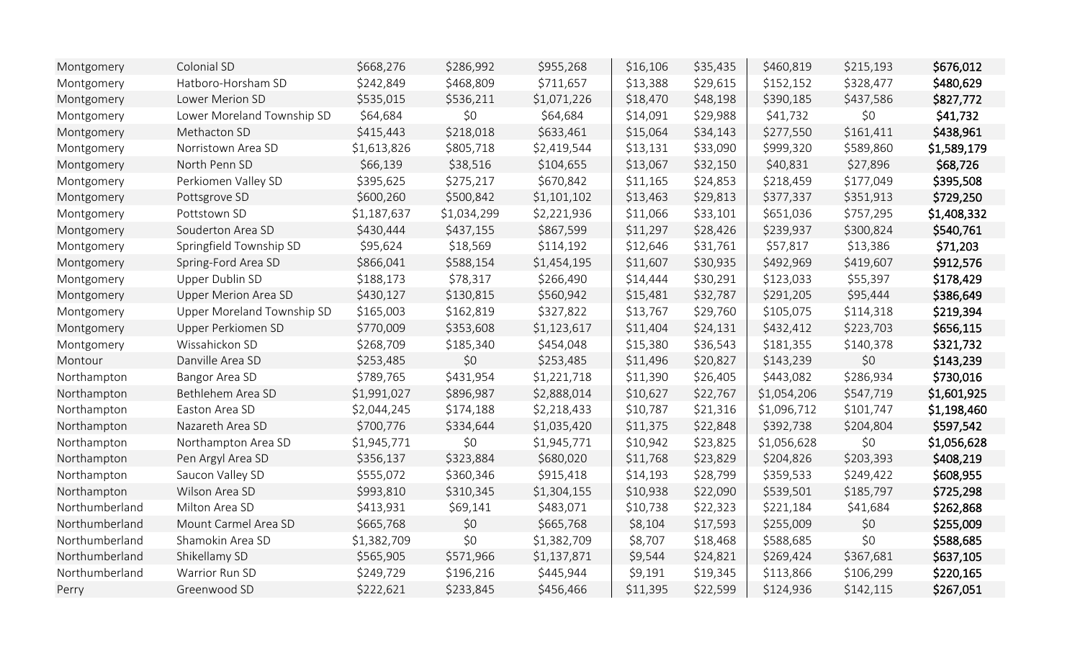| Montgomery     | Colonial SD                 | \$668,276   | \$286,992   | \$955,268   | \$16,106 | \$35,435 | \$460,819   | \$215,193 | \$676,012   |
|----------------|-----------------------------|-------------|-------------|-------------|----------|----------|-------------|-----------|-------------|
| Montgomery     | Hatboro-Horsham SD          | \$242,849   | \$468,809   | \$711,657   | \$13,388 | \$29,615 | \$152,152   | \$328,477 | \$480,629   |
| Montgomery     | Lower Merion SD             | \$535,015   | \$536,211   | \$1,071,226 | \$18,470 | \$48,198 | \$390,185   | \$437,586 | \$827,772   |
| Montgomery     | Lower Moreland Township SD  | \$64,684    | \$0         | \$64,684    | \$14,091 | \$29,988 | \$41,732    | \$0       | \$41,732    |
| Montgomery     | Methacton SD                | \$415,443   | \$218,018   | \$633,461   | \$15,064 | \$34,143 | \$277,550   | \$161,411 | \$438,961   |
| Montgomery     | Norristown Area SD          | \$1,613,826 | \$805,718   | \$2,419,544 | \$13,131 | \$33,090 | \$999,320   | \$589,860 | \$1,589,179 |
| Montgomery     | North Penn SD               | \$66,139    | \$38,516    | \$104,655   | \$13,067 | \$32,150 | \$40,831    | \$27,896  | \$68,726    |
| Montgomery     | Perkiomen Valley SD         | \$395,625   | \$275,217   | \$670,842   | \$11,165 | \$24,853 | \$218,459   | \$177,049 | \$395,508   |
| Montgomery     | Pottsgrove SD               | \$600,260   | \$500,842   | \$1,101,102 | \$13,463 | \$29,813 | \$377,337   | \$351,913 | \$729,250   |
| Montgomery     | Pottstown SD                | \$1,187,637 | \$1,034,299 | \$2,221,936 | \$11,066 | \$33,101 | \$651,036   | \$757,295 | \$1,408,332 |
| Montgomery     | Souderton Area SD           | \$430,444   | \$437,155   | \$867,599   | \$11,297 | \$28,426 | \$239,937   | \$300,824 | \$540,761   |
| Montgomery     | Springfield Township SD     | \$95,624    | \$18,569    | \$114,192   | \$12,646 | \$31,761 | \$57,817    | \$13,386  | \$71,203    |
| Montgomery     | Spring-Ford Area SD         | \$866,041   | \$588,154   | \$1,454,195 | \$11,607 | \$30,935 | \$492,969   | \$419,607 | \$912,576   |
| Montgomery     | Upper Dublin SD             | \$188,173   | \$78,317    | \$266,490   | \$14,444 | \$30,291 | \$123,033   | \$55,397  | \$178,429   |
| Montgomery     | <b>Upper Merion Area SD</b> | \$430,127   | \$130,815   | \$560,942   | \$15,481 | \$32,787 | \$291,205   | \$95,444  | \$386,649   |
| Montgomery     | Upper Moreland Township SD  | \$165,003   | \$162,819   | \$327,822   | \$13,767 | \$29,760 | \$105,075   | \$114,318 | \$219,394   |
| Montgomery     | Upper Perkiomen SD          | \$770,009   | \$353,608   | \$1,123,617 | \$11,404 | \$24,131 | \$432,412   | \$223,703 | \$656,115   |
| Montgomery     | Wissahickon SD              | \$268,709   | \$185,340   | \$454,048   | \$15,380 | \$36,543 | \$181,355   | \$140,378 | \$321,732   |
| Montour        | Danville Area SD            | \$253,485   | \$0         | \$253,485   | \$11,496 | \$20,827 | \$143,239   | \$0       | \$143,239   |
| Northampton    | Bangor Area SD              | \$789,765   | \$431,954   | \$1,221,718 | \$11,390 | \$26,405 | \$443,082   | \$286,934 | \$730,016   |
| Northampton    | Bethlehem Area SD           | \$1,991,027 | \$896,987   | \$2,888,014 | \$10,627 | \$22,767 | \$1,054,206 | \$547,719 | \$1,601,925 |
| Northampton    | Easton Area SD              | \$2,044,245 | \$174,188   | \$2,218,433 | \$10,787 | \$21,316 | \$1,096,712 | \$101,747 | \$1,198,460 |
| Northampton    | Nazareth Area SD            | \$700,776   | \$334,644   | \$1,035,420 | \$11,375 | \$22,848 | \$392,738   | \$204,804 | \$597,542   |
| Northampton    | Northampton Area SD         | \$1,945,771 | \$0         | \$1,945,771 | \$10,942 | \$23,825 | \$1,056,628 | \$0       | \$1,056,628 |
| Northampton    | Pen Argyl Area SD           | \$356,137   | \$323,884   | \$680,020   | \$11,768 | \$23,829 | \$204,826   | \$203,393 | \$408,219   |
| Northampton    | Saucon Valley SD            | \$555,072   | \$360,346   | \$915,418   | \$14,193 | \$28,799 | \$359,533   | \$249,422 | \$608,955   |
| Northampton    | Wilson Area SD              | \$993,810   | \$310,345   | \$1,304,155 | \$10,938 | \$22,090 | \$539,501   | \$185,797 | \$725,298   |
| Northumberland | Milton Area SD              | \$413,931   | \$69,141    | \$483,071   | \$10,738 | \$22,323 | \$221,184   | \$41,684  | \$262,868   |
| Northumberland | Mount Carmel Area SD        | \$665,768   | \$0         | \$665,768   | \$8,104  | \$17,593 | \$255,009   | \$0       | \$255,009   |
| Northumberland | Shamokin Area SD            | \$1,382,709 | \$0         | \$1,382,709 | \$8,707  | \$18,468 | \$588,685   | \$0       | \$588,685   |
| Northumberland | Shikellamy SD               | \$565,905   | \$571,966   | \$1,137,871 | \$9,544  | \$24,821 | \$269,424   | \$367,681 | \$637,105   |
| Northumberland | Warrior Run SD              | \$249,729   | \$196,216   | \$445,944   | \$9,191  | \$19,345 | \$113,866   | \$106,299 | \$220,165   |
| Perry          | Greenwood SD                | \$222,621   | \$233,845   | \$456,466   | \$11,395 | \$22,599 | \$124,936   | \$142,115 | \$267,051   |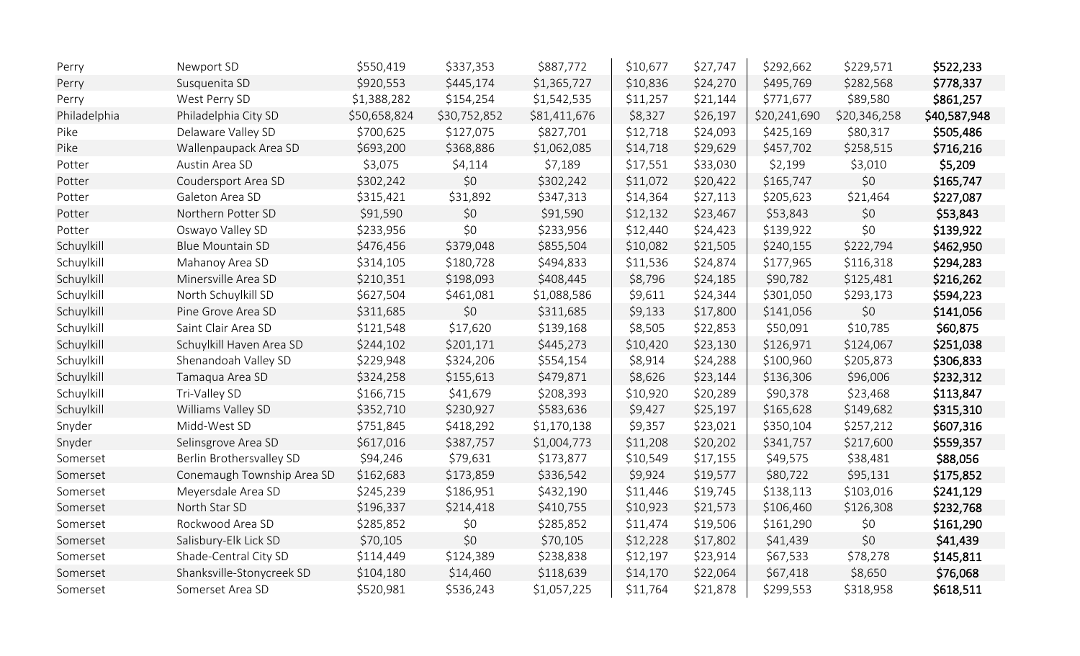| Perry        | Newport SD                 | \$550,419    | \$337,353    | \$887,772    | \$10,677 | \$27,747 | \$292,662    | \$229,571    | \$522,233    |
|--------------|----------------------------|--------------|--------------|--------------|----------|----------|--------------|--------------|--------------|
| Perry        | Susquenita SD              | \$920,553    | \$445,174    | \$1,365,727  | \$10,836 | \$24,270 | \$495,769    | \$282,568    | \$778,337    |
| Perry        | West Perry SD              | \$1,388,282  | \$154,254    | \$1,542,535  | \$11,257 | \$21,144 | \$771,677    | \$89,580     | \$861,257    |
| Philadelphia | Philadelphia City SD       | \$50,658,824 | \$30,752,852 | \$81,411,676 | \$8,327  | \$26,197 | \$20,241,690 | \$20,346,258 | \$40,587,948 |
| Pike         | Delaware Valley SD         | \$700,625    | \$127,075    | \$827,701    | \$12,718 | \$24,093 | \$425,169    | \$80,317     | \$505,486    |
| Pike         | Wallenpaupack Area SD      | \$693,200    | \$368,886    | \$1,062,085  | \$14,718 | \$29,629 | \$457,702    | \$258,515    | \$716,216    |
| Potter       | Austin Area SD             | \$3,075      | \$4,114      | \$7,189      | \$17,551 | \$33,030 | \$2,199      | \$3,010      | \$5,209      |
| Potter       | Coudersport Area SD        | \$302,242    | \$0          | \$302,242    | \$11,072 | \$20,422 | \$165,747    | \$0          | \$165,747    |
| Potter       | Galeton Area SD            | \$315,421    | \$31,892     | \$347,313    | \$14,364 | \$27,113 | \$205,623    | \$21,464     | \$227,087    |
| Potter       | Northern Potter SD         | \$91,590     | \$0          | \$91,590     | \$12,132 | \$23,467 | \$53,843     | \$0          | \$53,843     |
| Potter       | Oswayo Valley SD           | \$233,956    | \$0          | \$233,956    | \$12,440 | \$24,423 | \$139,922    | \$0          | \$139,922    |
| Schuylkill   | <b>Blue Mountain SD</b>    | \$476,456    | \$379,048    | \$855,504    | \$10,082 | \$21,505 | \$240,155    | \$222,794    | \$462,950    |
| Schuylkill   | Mahanoy Area SD            | \$314,105    | \$180,728    | \$494,833    | \$11,536 | \$24,874 | \$177,965    | \$116,318    | \$294,283    |
| Schuylkill   | Minersville Area SD        | \$210,351    | \$198,093    | \$408,445    | \$8,796  | \$24,185 | \$90,782     | \$125,481    | \$216,262    |
| Schuylkill   | North Schuylkill SD        | \$627,504    | \$461,081    | \$1,088,586  | \$9,611  | \$24,344 | \$301,050    | \$293,173    | \$594,223    |
| Schuylkill   | Pine Grove Area SD         | \$311,685    | \$0          | \$311,685    | \$9,133  | \$17,800 | \$141,056    | \$0          | \$141,056    |
| Schuylkill   | Saint Clair Area SD        | \$121,548    | \$17,620     | \$139,168    | \$8,505  | \$22,853 | \$50,091     | \$10,785     | \$60,875     |
| Schuylkill   | Schuylkill Haven Area SD   | \$244,102    | \$201,171    | \$445,273    | \$10,420 | \$23,130 | \$126,971    | \$124,067    | \$251,038    |
| Schuylkill   | Shenandoah Valley SD       | \$229,948    | \$324,206    | \$554,154    | \$8,914  | \$24,288 | \$100,960    | \$205,873    | \$306,833    |
| Schuylkill   | Tamaqua Area SD            | \$324,258    | \$155,613    | \$479,871    | \$8,626  | \$23,144 | \$136,306    | \$96,006     | \$232,312    |
| Schuylkill   | Tri-Valley SD              | \$166,715    | \$41,679     | \$208,393    | \$10,920 | \$20,289 | \$90,378     | \$23,468     | \$113,847    |
| Schuylkill   | Williams Valley SD         | \$352,710    | \$230,927    | \$583,636    | \$9,427  | \$25,197 | \$165,628    | \$149,682    | \$315,310    |
| Snyder       | Midd-West SD               | \$751,845    | \$418,292    | \$1,170,138  | \$9,357  | \$23,021 | \$350,104    | \$257,212    | \$607,316    |
| Snyder       | Selinsgrove Area SD        | \$617,016    | \$387,757    | \$1,004,773  | \$11,208 | \$20,202 | \$341,757    | \$217,600    | \$559,357    |
| Somerset     | Berlin Brothersvalley SD   | \$94,246     | \$79,631     | \$173,877    | \$10,549 | \$17,155 | \$49,575     | \$38,481     | \$88,056     |
| Somerset     | Conemaugh Township Area SD | \$162,683    | \$173,859    | \$336,542    | \$9,924  | \$19,577 | \$80,722     | \$95,131     | \$175,852    |
| Somerset     | Meyersdale Area SD         | \$245,239    | \$186,951    | \$432,190    | \$11,446 | \$19,745 | \$138,113    | \$103,016    | \$241,129    |
| Somerset     | North Star SD              | \$196,337    | \$214,418    | \$410,755    | \$10,923 | \$21,573 | \$106,460    | \$126,308    | \$232,768    |
| Somerset     | Rockwood Area SD           | \$285,852    | \$0          | \$285,852    | \$11,474 | \$19,506 | \$161,290    | \$0          | \$161,290    |
| Somerset     | Salisbury-Elk Lick SD      | \$70,105     | \$0          | \$70,105     | \$12,228 | \$17,802 | \$41,439     | \$0          | \$41,439     |
| Somerset     | Shade-Central City SD      | \$114,449    | \$124,389    | \$238,838    | \$12,197 | \$23,914 | \$67,533     | \$78,278     | \$145,811    |
| Somerset     | Shanksville-Stonycreek SD  | \$104,180    | \$14,460     | \$118,639    | \$14,170 | \$22,064 | \$67,418     | \$8,650      | \$76,068     |
| Somerset     | Somerset Area SD           | \$520,981    | \$536,243    | \$1,057,225  | \$11,764 | \$21,878 | \$299,553    | \$318,958    | \$618,511    |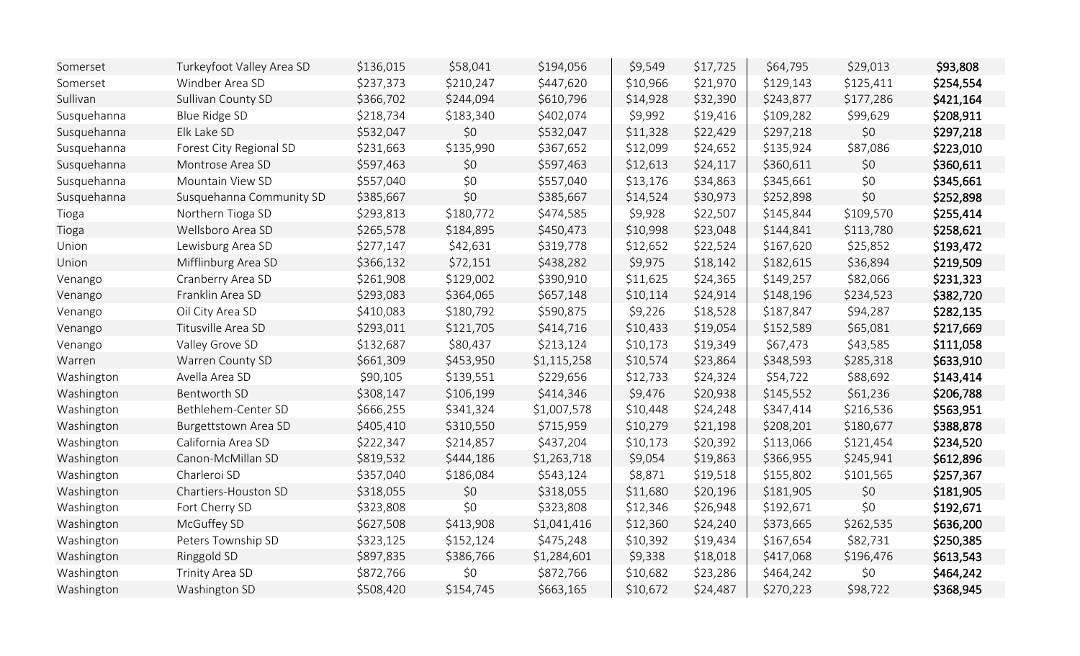| Somerset    | Turkeyfoot Valley Area SD | \$136,015 | \$58,041  | \$194,056   | \$9,549  | \$17,725 | \$64,795  | \$29,013  | \$93,808  |
|-------------|---------------------------|-----------|-----------|-------------|----------|----------|-----------|-----------|-----------|
|             |                           |           |           |             |          |          |           |           |           |
| Somerset    | Windber Area SD           | \$237,373 | \$210,247 | \$447,620   | \$10,966 | \$21,970 | \$129,143 | \$125,411 | \$254,554 |
| Sullivan    | Sullivan County SD        | \$366,702 | \$244,094 | \$610,796   | \$14,928 | \$32,390 | \$243,877 | \$177,286 | \$421,164 |
| Susquehanna | Blue Ridge SD             | \$218,734 | \$183,340 | \$402,074   | \$9,992  | \$19,416 | \$109,282 | \$99,629  | \$208,911 |
| Susquehanna | Elk Lake SD               | \$532,047 | \$0       | \$532,047   | \$11,328 | \$22,429 | \$297,218 | \$0       | \$297,218 |
| Susquehanna | Forest City Regional SD   | \$231,663 | \$135,990 | \$367,652   | \$12,099 | \$24,652 | \$135,924 | \$87,086  | \$223,010 |
| Susquehanna | Montrose Area SD          | \$597,463 | \$0\$     | \$597,463   | \$12,613 | \$24,117 | \$360,611 | \$0       | \$360,611 |
| Susquehanna | Mountain View SD          | \$557,040 | \$0       | \$557,040   | \$13,176 | \$34,863 | \$345,661 | \$0       | \$345,661 |
| Susquehanna | Susquehanna Community SD  | \$385,667 | \$0       | \$385,667   | \$14,524 | \$30,973 | \$252,898 | \$0       | \$252,898 |
| Tioga       | Northern Tioga SD         | \$293,813 | \$180,772 | \$474,585   | \$9,928  | \$22,507 | \$145,844 | \$109,570 | \$255,414 |
| Tioga       | Wellsboro Area SD         | \$265,578 | \$184,895 | \$450,473   | \$10,998 | \$23,048 | \$144,841 | \$113,780 | \$258,621 |
| Union       | Lewisburg Area SD         | \$277,147 | \$42,631  | \$319,778   | \$12,652 | \$22,524 | \$167,620 | \$25,852  | \$193,472 |
| Union       | Mifflinburg Area SD       | \$366,132 | \$72,151  | \$438,282   | \$9,975  | \$18,142 | \$182,615 | \$36,894  | \$219,509 |
| Venango     | Cranberry Area SD         | \$261,908 | \$129,002 | \$390,910   | \$11,625 | \$24,365 | \$149,257 | \$82,066  | \$231,323 |
| Venango     | Franklin Area SD          | \$293,083 | \$364,065 | \$657,148   | \$10,114 | \$24,914 | \$148,196 | \$234,523 | \$382,720 |
| Venango     | Oil City Area SD          | \$410,083 | \$180,792 | \$590,875   | \$9,226  | \$18,528 | \$187,847 | \$94,287  | \$282,135 |
| Venango     | Titusville Area SD        | \$293,011 | \$121,705 | \$414,716   | \$10,433 | \$19,054 | \$152,589 | \$65,081  | \$217,669 |
| Venango     | Valley Grove SD           | \$132,687 | \$80,437  | \$213,124   | \$10,173 | \$19,349 | \$67,473  | \$43,585  | \$111,058 |
| Warren      | Warren County SD          | \$661,309 | \$453,950 | \$1,115,258 | \$10,574 | \$23,864 | \$348,593 | \$285,318 | \$633,910 |
| Washington  | Avella Area SD            | \$90,105  | \$139,551 | \$229,656   | \$12,733 | \$24,324 | \$54,722  | \$88,692  | \$143,414 |
| Washington  | Bentworth SD              | \$308,147 | \$106,199 | \$414,346   | \$9,476  | \$20,938 | \$145,552 | \$61,236  | \$206,788 |
| Washington  | Bethlehem-Center SD       | \$666,255 | \$341,324 | \$1,007,578 | \$10,448 | \$24,248 | \$347,414 | \$216,536 | \$563,951 |
| Washington  | Burgettstown Area SD      | \$405,410 | \$310,550 | \$715,959   | \$10,279 | \$21,198 | \$208,201 | \$180,677 | \$388,878 |
| Washington  | California Area SD        | \$222,347 | \$214,857 | \$437,204   | \$10,173 | \$20,392 | \$113,066 | \$121,454 | \$234,520 |
| Washington  | Canon-McMillan SD         | \$819,532 | \$444,186 | \$1,263,718 | \$9,054  | \$19,863 | \$366,955 | \$245,941 | \$612,896 |
| Washington  | Charleroi SD              | \$357,040 | \$186,084 | \$543,124   | \$8,871  | \$19,518 | \$155,802 | \$101,565 | \$257,367 |
| Washington  | Chartiers-Houston SD      | \$318,055 | \$0       | \$318,055   | \$11,680 | \$20,196 | \$181,905 | \$0       | \$181,905 |
| Washington  | Fort Cherry SD            | \$323,808 | \$0       | \$323,808   | \$12,346 | \$26,948 | \$192,671 | \$0       | \$192,671 |
| Washington  | McGuffey SD               | \$627,508 | \$413,908 | \$1,041,416 | \$12,360 | \$24,240 | \$373,665 | \$262,535 | \$636,200 |
| Washington  | Peters Township SD        | \$323,125 | \$152,124 | \$475,248   | \$10,392 | \$19,434 | \$167,654 | \$82,731  | \$250,385 |
| Washington  | Ringgold SD               | \$897,835 | \$386,766 | \$1,284,601 | \$9,338  | \$18,018 | \$417,068 | \$196,476 | \$613,543 |
| Washington  | Trinity Area SD           | \$872,766 | \$0       | \$872,766   | \$10,682 | \$23,286 | \$464,242 | \$0       | \$464,242 |
| Washington  | Washington SD             | \$508,420 | \$154,745 | \$663,165   | \$10,672 | \$24,487 | \$270,223 | \$98,722  | \$368,945 |
|             |                           |           |           |             |          |          |           |           |           |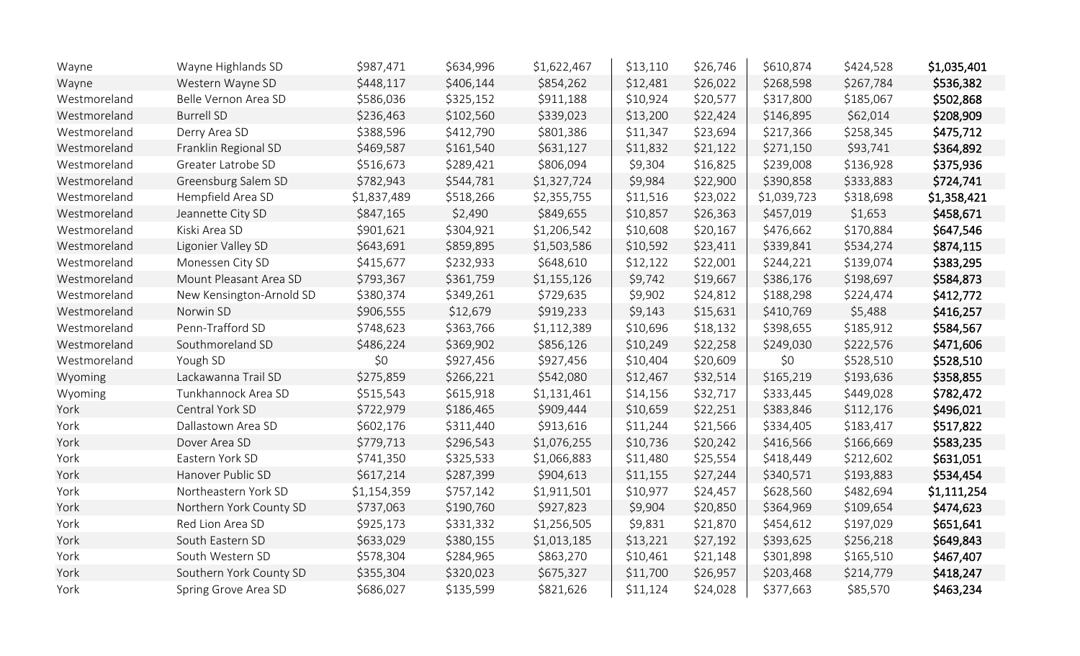| Wayne        | Wayne Highlands SD       | \$987,471   | \$634,996 | \$1,622,467 | \$13,110 | \$26,746 | \$610,874   | \$424,528 | \$1,035,401 |
|--------------|--------------------------|-------------|-----------|-------------|----------|----------|-------------|-----------|-------------|
| Wayne        | Western Wayne SD         | \$448,117   | \$406,144 | \$854,262   | \$12,481 | \$26,022 | \$268,598   | \$267,784 | \$536,382   |
| Westmoreland | Belle Vernon Area SD     | \$586,036   | \$325,152 | \$911,188   | \$10,924 | \$20,577 | \$317,800   | \$185,067 | \$502,868   |
| Westmoreland | <b>Burrell SD</b>        | \$236,463   | \$102,560 | \$339,023   | \$13,200 | \$22,424 | \$146,895   | \$62,014  | \$208,909   |
| Westmoreland | Derry Area SD            | \$388,596   | \$412,790 | \$801,386   | \$11,347 | \$23,694 | \$217,366   | \$258,345 | \$475,712   |
| Westmoreland | Franklin Regional SD     | \$469,587   | \$161,540 | \$631,127   | \$11,832 | \$21,122 | \$271,150   | \$93,741  | \$364,892   |
| Westmoreland | Greater Latrobe SD       | \$516,673   | \$289,421 | \$806,094   | \$9,304  | \$16,825 | \$239,008   | \$136,928 | \$375,936   |
| Westmoreland | Greensburg Salem SD      | \$782,943   | \$544,781 | \$1,327,724 | \$9,984  | \$22,900 | \$390,858   | \$333,883 | \$724,741   |
| Westmoreland | Hempfield Area SD        | \$1,837,489 | \$518,266 | \$2,355,755 | \$11,516 | \$23,022 | \$1,039,723 | \$318,698 | \$1,358,421 |
| Westmoreland | Jeannette City SD        | \$847,165   | \$2,490   | \$849,655   | \$10,857 | \$26,363 | \$457,019   | \$1,653   | \$458,671   |
| Westmoreland | Kiski Area SD            | \$901,621   | \$304,921 | \$1,206,542 | \$10,608 | \$20,167 | \$476,662   | \$170,884 | \$647,546   |
| Westmoreland | Ligonier Valley SD       | \$643,691   | \$859,895 | \$1,503,586 | \$10,592 | \$23,411 | \$339,841   | \$534,274 | \$874,115   |
| Westmoreland | Monessen City SD         | \$415,677   | \$232,933 | \$648,610   | \$12,122 | \$22,001 | \$244,221   | \$139,074 | \$383,295   |
| Westmoreland | Mount Pleasant Area SD   | \$793,367   | \$361,759 | \$1,155,126 | \$9,742  | \$19,667 | \$386,176   | \$198,697 | \$584,873   |
| Westmoreland | New Kensington-Arnold SD | \$380,374   | \$349,261 | \$729,635   | \$9,902  | \$24,812 | \$188,298   | \$224,474 | \$412,772   |
| Westmoreland | Norwin SD                | \$906,555   | \$12,679  | \$919,233   | \$9,143  | \$15,631 | \$410,769   | \$5,488   | \$416,257   |
| Westmoreland | Penn-Trafford SD         | \$748,623   | \$363,766 | \$1,112,389 | \$10,696 | \$18,132 | \$398,655   | \$185,912 | \$584,567   |
| Westmoreland | Southmoreland SD         | \$486,224   | \$369,902 | \$856,126   | \$10,249 | \$22,258 | \$249,030   | \$222,576 | \$471,606   |
| Westmoreland | Yough SD                 | \$0         | \$927,456 | \$927,456   | \$10,404 | \$20,609 | \$0         | \$528,510 | \$528,510   |
| Wyoming      | Lackawanna Trail SD      | \$275,859   | \$266,221 | \$542,080   | \$12,467 | \$32,514 | \$165,219   | \$193,636 | \$358,855   |
| Wyoming      | Tunkhannock Area SD      | \$515,543   | \$615,918 | \$1,131,461 | \$14,156 | \$32,717 | \$333,445   | \$449,028 | \$782,472   |
| York         | Central York SD          | \$722,979   | \$186,465 | \$909,444   | \$10,659 | \$22,251 | \$383,846   | \$112,176 | \$496,021   |
| York         | Dallastown Area SD       | \$602,176   | \$311,440 | \$913,616   | \$11,244 | \$21,566 | \$334,405   | \$183,417 | \$517,822   |
| York         | Dover Area SD            | \$779,713   | \$296,543 | \$1,076,255 | \$10,736 | \$20,242 | \$416,566   | \$166,669 | \$583,235   |
| York         | Eastern York SD          | \$741,350   | \$325,533 | \$1,066,883 | \$11,480 | \$25,554 | \$418,449   | \$212,602 | \$631,051   |
| York         | Hanover Public SD        | \$617,214   | \$287,399 | \$904,613   | \$11,155 | \$27,244 | \$340,571   | \$193,883 | \$534,454   |
| York         | Northeastern York SD     | \$1,154,359 | \$757,142 | \$1,911,501 | \$10,977 | \$24,457 | \$628,560   | \$482,694 | \$1,111,254 |
| York         | Northern York County SD  | \$737,063   | \$190,760 | \$927,823   | \$9,904  | \$20,850 | \$364,969   | \$109,654 | \$474,623   |
| York         | Red Lion Area SD         | \$925,173   | \$331,332 | \$1,256,505 | \$9,831  | \$21,870 | \$454,612   | \$197,029 | \$651,641   |
| York         | South Eastern SD         | \$633,029   | \$380,155 | \$1,013,185 | \$13,221 | \$27,192 | \$393,625   | \$256,218 | \$649,843   |
| York         | South Western SD         | \$578,304   | \$284,965 | \$863,270   | \$10,461 | \$21,148 | \$301,898   | \$165,510 | \$467,407   |
| York         | Southern York County SD  | \$355,304   | \$320,023 | \$675,327   | \$11,700 | \$26,957 | \$203,468   | \$214,779 | \$418,247   |
| York         | Spring Grove Area SD     | \$686,027   | \$135,599 | \$821,626   | \$11,124 | \$24,028 | \$377,663   | \$85,570  | \$463,234   |